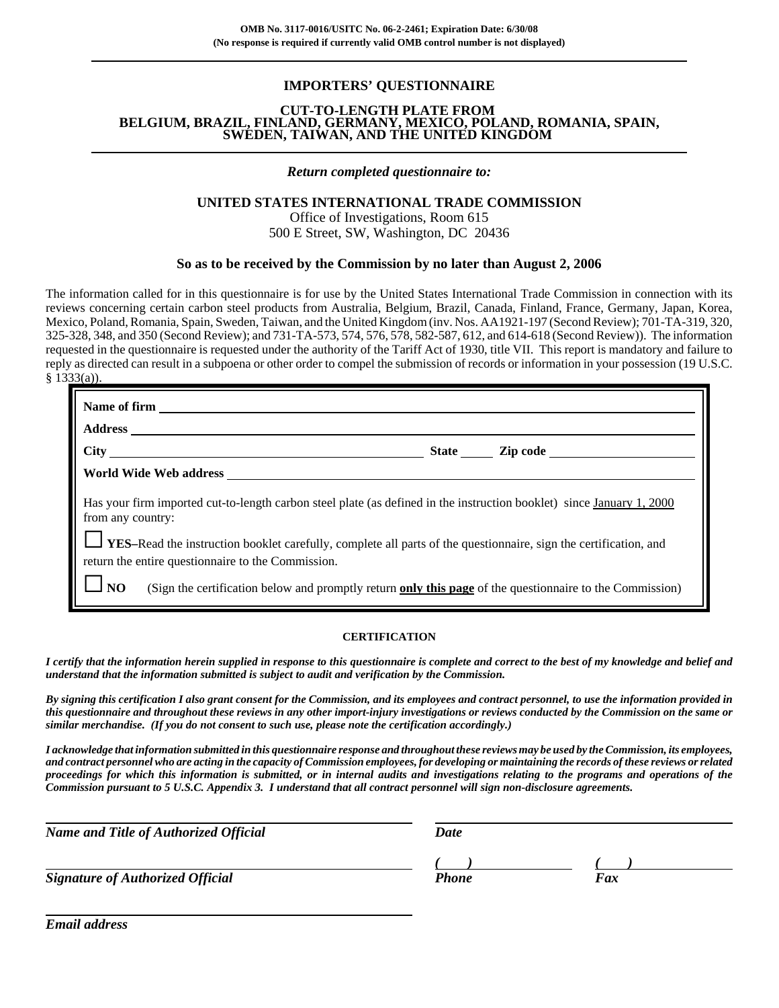## **IMPORTERS' QUESTIONNAIRE**

#### **CUT-TO-LENGTH PLATE FROM BELGIUM, BRAZIL, FINLAND, GERMANY, MEXICO, POLAND, ROMANIA, SPAIN, SWEDEN, TAIWAN, AND THE UNITED KINGDOM**

#### *Return completed questionnaire to:*

### **UNITED STATES INTERNATIONAL TRADE COMMISSION**

Office of Investigations, Room 615 500 E Street, SW, Washington, DC 20436

#### **So as to be received by the Commission by no later than August 2, 2006**

The information called for in this questionnaire is for use by the United States International Trade Commission in connection with its reviews concerning certain carbon steel products from Australia, Belgium, Brazil, Canada, Finland, France, Germany, Japan, Korea, Mexico, Poland, Romania, Spain, Sweden, Taiwan, and the United Kingdom (inv. Nos. AA1921-197 (Second Review); 701-TA-319, 320, 325-328, 348, and 350 (Second Review); and 731-TA-573, 574, 576, 578, 582-587, 612, and 614-618 (Second Review)). The information requested in the questionnaire is requested under the authority of the Tariff Act of 1930, title VII. This report is mandatory and failure to reply as directed can result in a subpoena or other order to compel the submission of records or information in your possession (19 U.S.C.  $§$  1333(a)).

| Name of firm                                                                                                                                                                  |  |
|-------------------------------------------------------------------------------------------------------------------------------------------------------------------------------|--|
|                                                                                                                                                                               |  |
|                                                                                                                                                                               |  |
|                                                                                                                                                                               |  |
| Has your firm imported cut-to-length carbon steel plate (as defined in the instruction booklet) since January 1, 2000<br>from any country:                                    |  |
| <b>VES-Read the instruction booklet carefully, complete all parts of the questionnaire, sign the certification, and</b><br>return the entire questionnaire to the Commission. |  |
| N <sub>O</sub><br>(Sign the certification below and promptly return only this page of the questionnaire to the Commission)                                                    |  |

#### **CERTIFICATION**

*I certify that the information herein supplied in response to this questionnaire is complete and correct to the best of my knowledge and belief and understand that the information submitted is subject to audit and verification by the Commission.*

*By signing this certification I also grant consent for the Commission, and its employees and contract personnel, to use the information provided in this questionnaire and throughout these reviews in any other import-injury investigations or reviews conducted by the Commission on the same or similar merchandise. (If you do not consent to such use, please note the certification accordingly.)*

*I acknowledge that information submitted in this questionnaire response and throughout these reviews may be used by the Commission, its employees, and contract personnel who are acting in the capacity of Commission employees, for developing or maintaining the records of these reviews or related proceedings for which this information is submitted, or in internal audits and investigations relating to the programs and operations of the Commission pursuant to 5 U.S.C. Appendix 3. I understand that all contract personnel will sign non-disclosure agreements.*

**Name and Title of Authorized Official** 

| <b>Date</b>  |     |
|--------------|-----|
|              |     |
| <b>Phone</b> | Fax |

**Signature of Authorized Official** 

*Email address*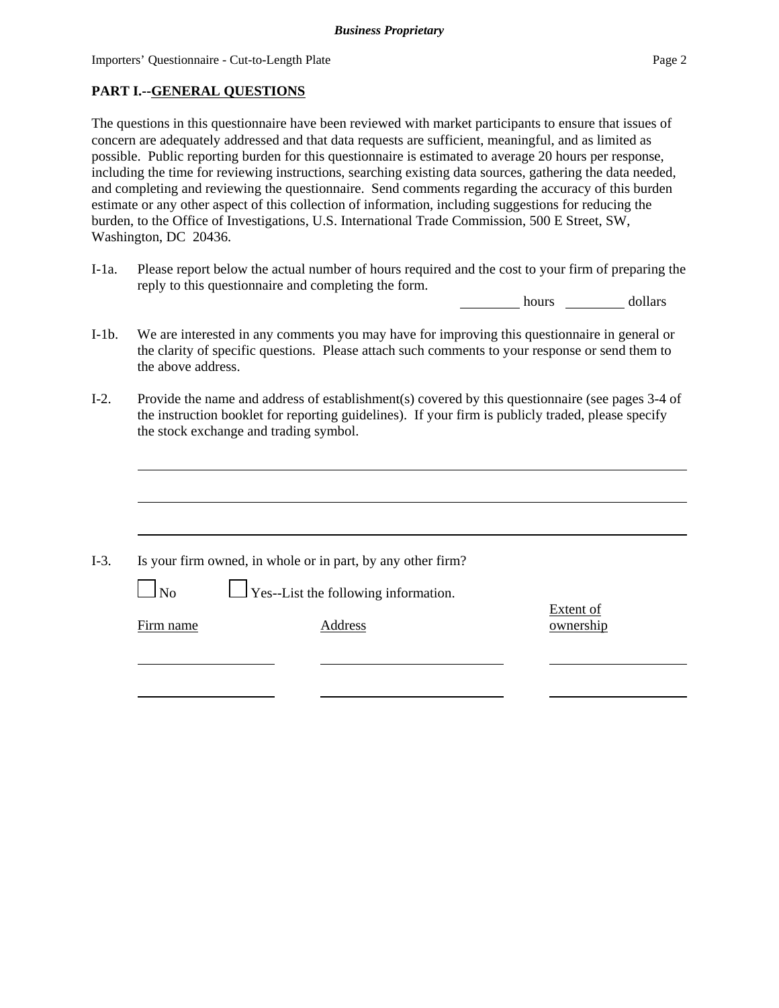The questions in this questionnaire have been reviewed with market participants to ensure that issues of concern are adequately addressed and that data requests are sufficient, meaningful, and as limited as possible. Public reporting burden for this questionnaire is estimated to average 20 hours per response, including the time for reviewing instructions, searching existing data sources, gathering the data needed, and completing and reviewing the questionnaire. Send comments regarding the accuracy of this burden estimate or any other aspect of this collection of information, including suggestions for reducing the burden, to the Office of Investigations, U.S. International Trade Commission, 500 E Street, SW, Washington, DC 20436.

I-1a. Please report below the actual number of hours required and the cost to your firm of preparing the reply to this questionnaire and completing the form.

hours dollars

- I-1b. We are interested in any comments you may have for improving this questionnaire in general or the clarity of specific questions. Please attach such comments to your response or send them to the above address.
- I-2. Provide the name and address of establishment(s) covered by this questionnaire (see pages 3-4 of the instruction booklet for reporting guidelines). If your firm is publicly traded, please specify the stock exchange and trading symbol.

|           | Is your firm owned, in whole or in part, by any other firm? |                        |
|-----------|-------------------------------------------------------------|------------------------|
| $\Box$ No | $\Box$ Yes--List the following information.                 |                        |
| Firm name | Address                                                     | Extent of<br>ownership |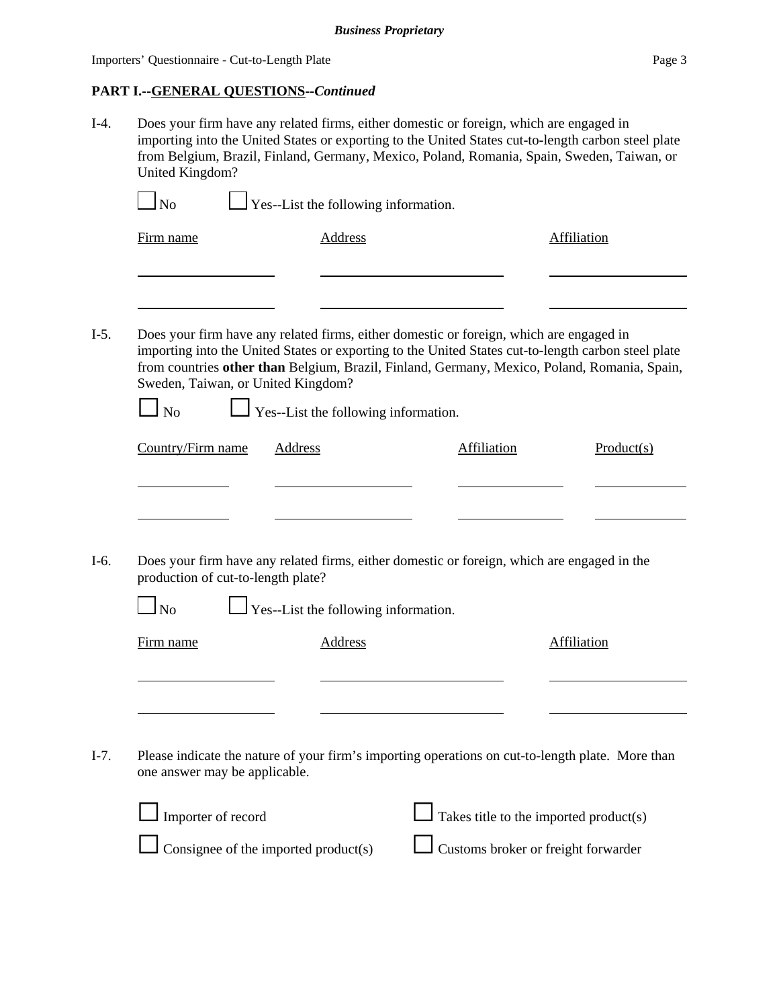## **PART I.--GENERAL QUESTIONS--***Continued*

I-4. Does your firm have any related firms, either domestic or foreign, which are engaged in importing into the United States or exporting to the United States cut-to-length carbon steel plate from Belgium, Brazil, Finland, Germany, Mexico, Poland, Romania, Spain, Sweden, Taiwan, or United Kingdom?  $\Box$  No  $\Box$  Yes--List the following information. Firm name Address Affiliation I-5. Does your firm have any related firms, either domestic or foreign, which are engaged in importing into the United States or exporting to the United States cut-to-length carbon steel plate from countries **other than** Belgium, Brazil, Finland, Germany, Mexico, Poland, Romania, Spain, Sweden, Taiwan, or United Kingdom? No  $\Box$  Yes--List the following information. Country/Firm name Address Affiliation Product(s) l l I-6. Does your firm have any related firms, either domestic or foreign, which are engaged in the production of cut-to-length plate?  $\Box$  No  $\Box$  Yes--List the following information. Firm name Address Address Address Affiliation I-7. Please indicate the nature of your firm's importing operations on cut-to-length plate. More than one answer may be applicable. Importer of record  $\Box$  Takes title to the imported product(s)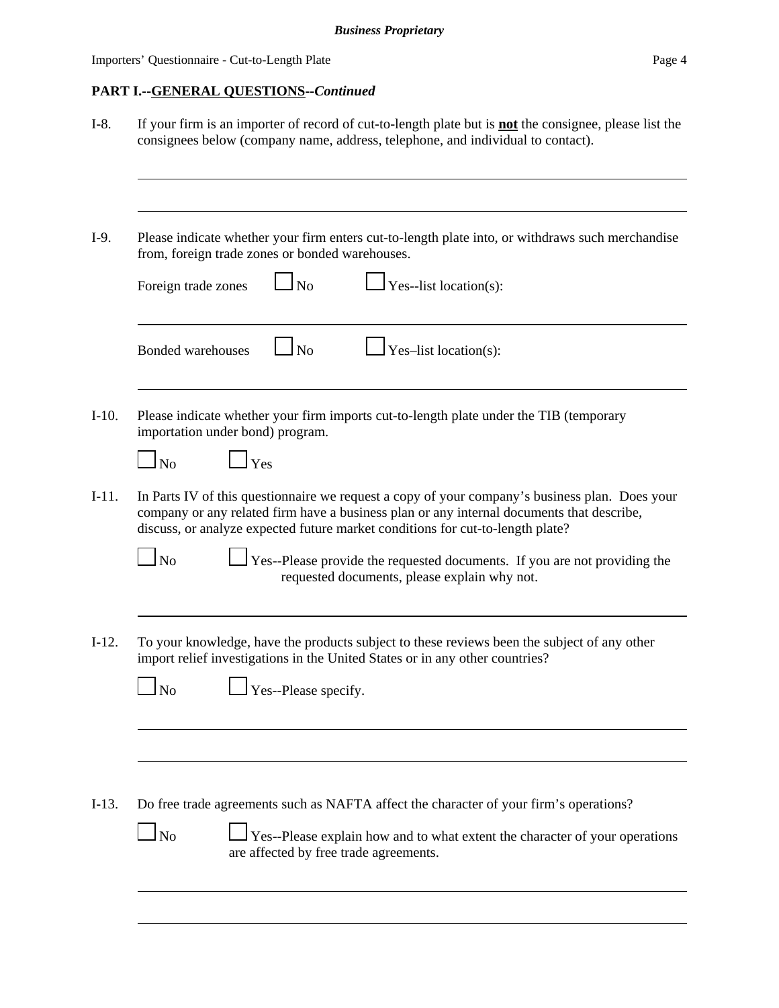### **PART I.--GENERAL QUESTIONS--***Continued*

I-8. If your firm is an importer of record of cut-to-length plate but is **not** the consignee, please list the consignees below (company name, address, telephone, and individual to contact). I-9. Please indicate whether your firm enters cut-to-length plate into, or withdraws such merchandise from, foreign trade zones or bonded warehouses. Foreign trade zones  $\Box$  No  $\Box$  Yes--list location(s): Bonded warehouses  $\Box$  No  $\Box$  Yes–list location(s): I-10. Please indicate whether your firm imports cut-to-length plate under the TIB (temporary importation under bond) program.  $\bigcup$  No  $\bigcup$  Yes I-11. In Parts IV of this questionnaire we request a copy of your company's business plan. Does your company or any related firm have a business plan or any internal documents that describe, discuss, or analyze expected future market conditions for cut-to-length plate?  $\Box$  No  $\Box$  Yes--Please provide the requested documents. If you are not providing the requested documents, please explain why not. I-12. To your knowledge, have the products subject to these reviews been the subject of any other import relief investigations in the United States or in any other countries?  $\Box$  No  $\Box$  Yes--Please specify. I-13. Do free trade agreements such as NAFTA affect the character of your firm's operations?  $\Box$  Yes--Please explain how and to what extent the character of your operations are affected by free trade agreements.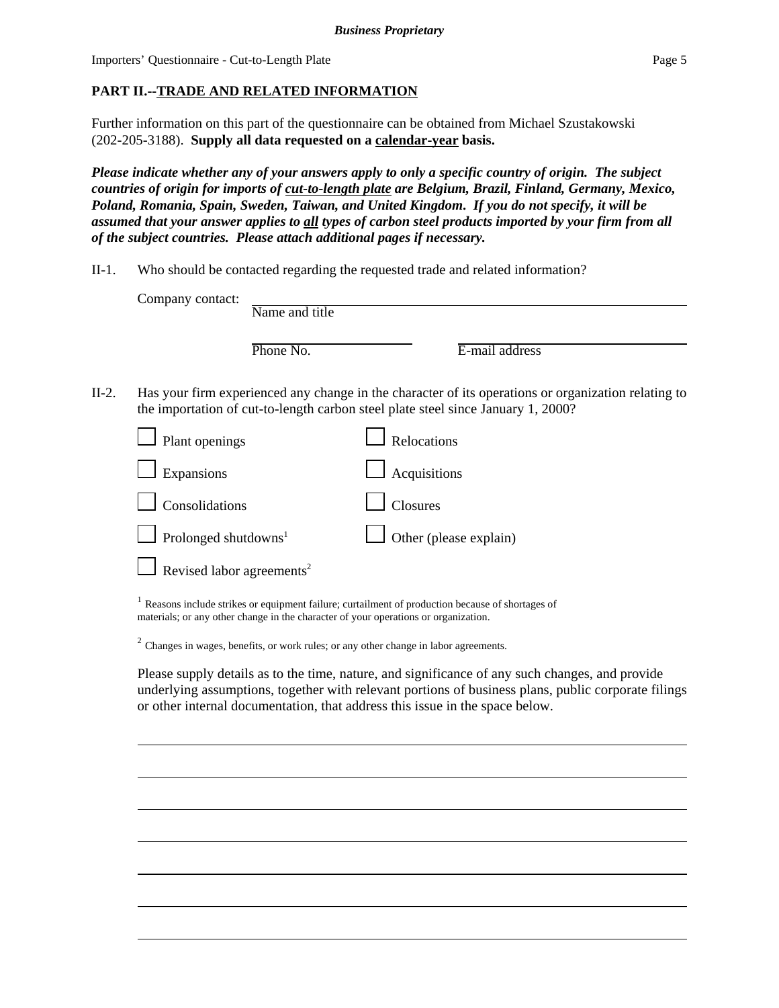# **PART II.--TRADE AND RELATED INFORMATION**

Further information on this part of the questionnaire can be obtained from Michael Szustakowski (202-205-3188). **Supply all data requested on a calendar-year basis.**

*Please indicate whether any of your answers apply to only a specific country of origin. The subject countries of origin for imports of cut-to-length plate are Belgium, Brazil, Finland, Germany, Mexico, Poland, Romania, Spain, Sweden, Taiwan, and United Kingdom***.** *If you do not specify, it will be assumed that your answer applies to all types of carbon steel products imported by your firm from all of the subject countries. Please attach additional pages if necessary.* 

II-1. Who should be contacted regarding the requested trade and related information?

|         | Company contact:                        |                |                                                                                                                                                                                            |  |
|---------|-----------------------------------------|----------------|--------------------------------------------------------------------------------------------------------------------------------------------------------------------------------------------|--|
|         |                                         | Name and title |                                                                                                                                                                                            |  |
|         |                                         | Phone No.      | E-mail address                                                                                                                                                                             |  |
| $II-2.$ |                                         |                | Has your firm experienced any change in the character of its operations or organization relating to<br>the importation of cut-to-length carbon steel plate steel since January 1, 2000?    |  |
|         | Plant openings                          |                | Relocations                                                                                                                                                                                |  |
|         | Expansions                              |                | Acquisitions                                                                                                                                                                               |  |
|         | Consolidations                          |                | <b>Closures</b>                                                                                                                                                                            |  |
|         | $\Box$ Prolonged shutdowns <sup>1</sup> |                | Other (please explain)                                                                                                                                                                     |  |
|         | Revised labor agreements <sup>2</sup>   |                |                                                                                                                                                                                            |  |
|         |                                         |                | $1$ Reasons include strikes or equipment failure; curtailment of production because of shortages of<br>materials; or any other change in the character of your operations or organization. |  |
|         |                                         |                |                                                                                                                                                                                            |  |

 $2$  Changes in wages, benefits, or work rules; or any other change in labor agreements.

Please supply details as to the time, nature, and significance of any such changes, and provide underlying assumptions, together with relevant portions of business plans, public corporate filings or other internal documentation, that address this issue in the space below.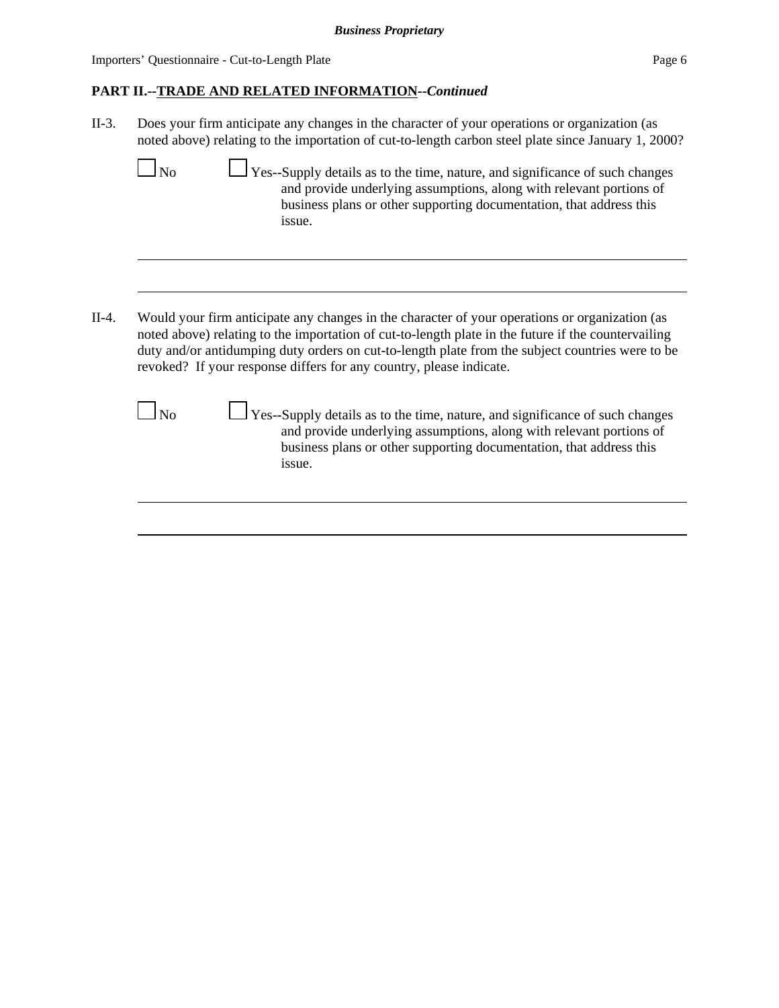Importers' Questionnaire - Cut-to-Length Plate Page 6

## **PART II.--TRADE AND RELATED INFORMATION--***Continued*

II-3. Does your firm anticipate any changes in the character of your operations or organization (as noted above) relating to the importation of cut-to-length carbon steel plate since January 1, 2000?

- No Yes--Supply details as to the time, nature, and significance of such changes and provide underlying assumptions, along with relevant portions of business plans or other supporting documentation, that address this issue.
- II-4. Would your firm anticipate any changes in the character of your operations or organization (as noted above) relating to the importation of cut-to-length plate in the future if the countervailing duty and/or antidumping duty orders on cut-to-length plate from the subject countries were to be revoked? If your response differs for any country, please indicate.

 $\Box$  Yes--Supply details as to the time, nature, and significance of such changes and provide underlying assumptions, along with relevant portions of business plans or other supporting documentation, that address this issue.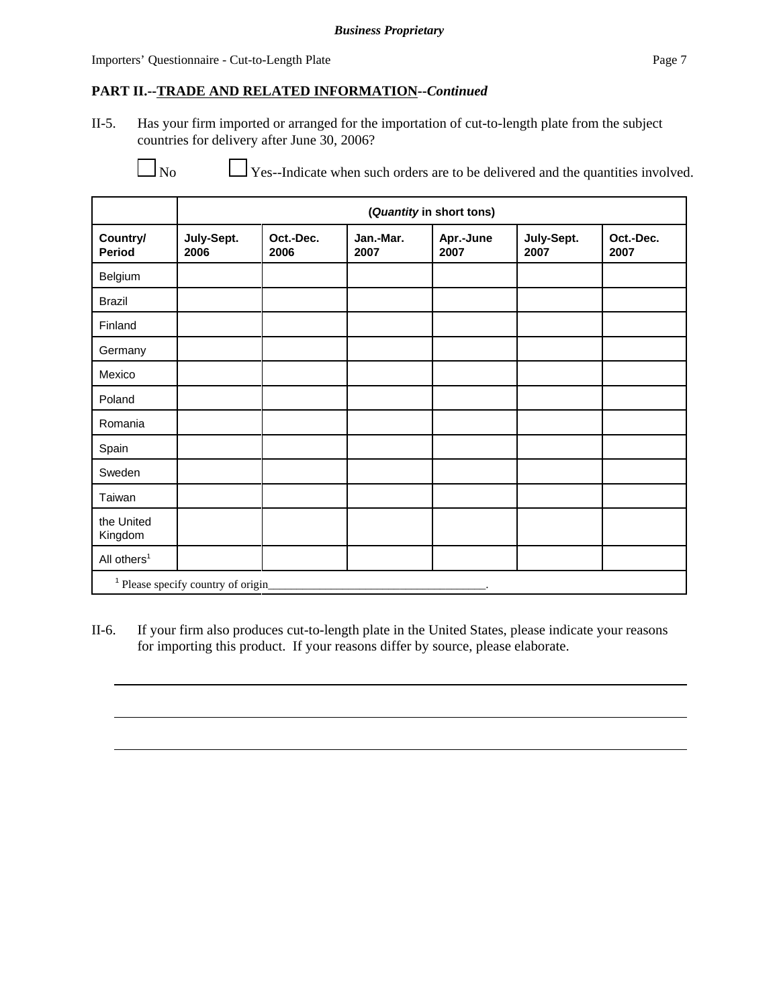Importers' Questionnaire - Cut-to-Length Plate Page 7

## **PART II.--TRADE AND RELATED INFORMATION--***Continued*

II-5. Has your firm imported or arranged for the importation of cut-to-length plate from the subject countries for delivery after June 30, 2006?

 $\Box$  Yes--Indicate when such orders are to be delivered and the quantities involved.

|                         | (Quantity in short tons)                      |                   |                   |                   |                    |                   |  |
|-------------------------|-----------------------------------------------|-------------------|-------------------|-------------------|--------------------|-------------------|--|
| Country/<br>Period      | July-Sept.<br>2006                            | Oct.-Dec.<br>2006 | Jan.-Mar.<br>2007 | Apr.-June<br>2007 | July-Sept.<br>2007 | Oct.-Dec.<br>2007 |  |
| Belgium                 |                                               |                   |                   |                   |                    |                   |  |
| <b>Brazil</b>           |                                               |                   |                   |                   |                    |                   |  |
| Finland                 |                                               |                   |                   |                   |                    |                   |  |
| Germany                 |                                               |                   |                   |                   |                    |                   |  |
| Mexico                  |                                               |                   |                   |                   |                    |                   |  |
| Poland                  |                                               |                   |                   |                   |                    |                   |  |
| Romania                 |                                               |                   |                   |                   |                    |                   |  |
| Spain                   |                                               |                   |                   |                   |                    |                   |  |
| Sweden                  |                                               |                   |                   |                   |                    |                   |  |
| Taiwan                  |                                               |                   |                   |                   |                    |                   |  |
| the United<br>Kingdom   |                                               |                   |                   |                   |                    |                   |  |
| All others <sup>1</sup> |                                               |                   |                   |                   |                    |                   |  |
|                         | <sup>1</sup> Please specify country of origin |                   |                   |                   |                    |                   |  |

II-6. If your firm also produces cut-to-length plate in the United States, please indicate your reasons for importing this product. If your reasons differ by source, please elaborate.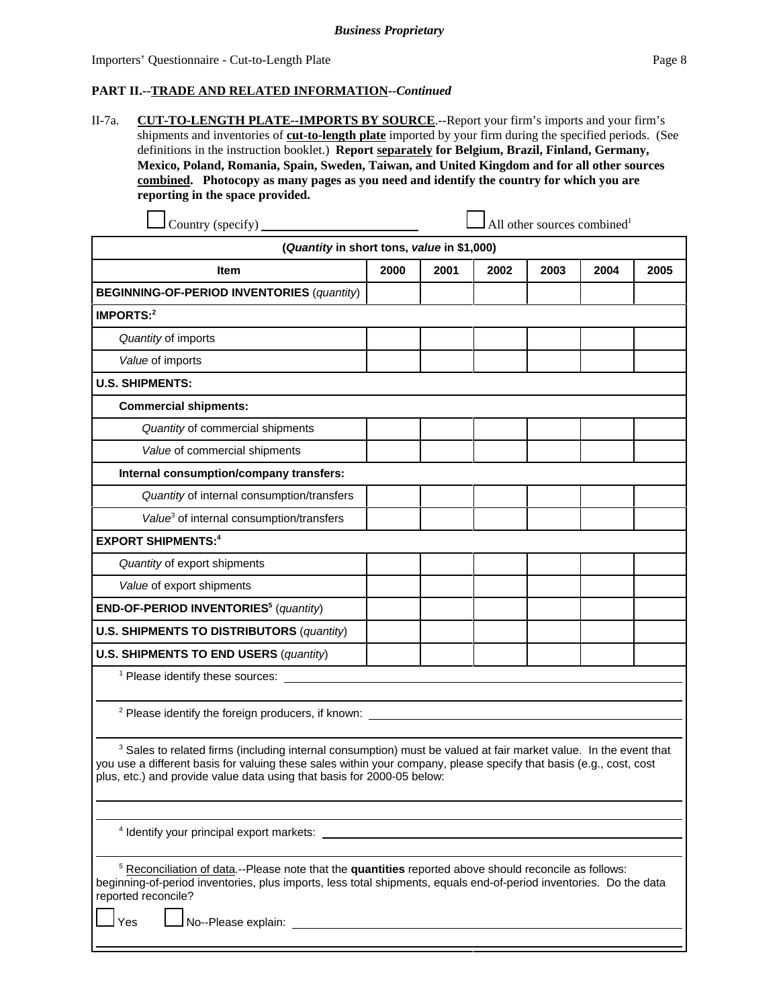II-7a. **CUT-TO-LENGTH PLATE--IMPORTS BY SOURCE**.--Report your firm's imports and your firm's shipments and inventories of **cut-to-length plate** imported by your firm during the specified periods. (See definitions in the instruction booklet.) **Report separately for Belgium, Brazil, Finland, Germany, Mexico, Poland, Romania, Spain, Sweden, Taiwan, and United Kingdom and for all other sources combined. Photocopy as many pages as you need and identify the country for which you are reporting in the space provided.**

| Country (specify)                                                                                                                                                                                                                                                                                                           |      |      |      | All other sources combined <sup>1</sup> |      |      |
|-----------------------------------------------------------------------------------------------------------------------------------------------------------------------------------------------------------------------------------------------------------------------------------------------------------------------------|------|------|------|-----------------------------------------|------|------|
| (Quantity in short tons, value in \$1,000)                                                                                                                                                                                                                                                                                  |      |      |      |                                         |      |      |
| <b>Item</b>                                                                                                                                                                                                                                                                                                                 | 2000 | 2001 | 2002 | 2003                                    | 2004 | 2005 |
| <b>BEGINNING-OF-PERIOD INVENTORIES (quantity)</b>                                                                                                                                                                                                                                                                           |      |      |      |                                         |      |      |
| <b>IMPORTS:2</b>                                                                                                                                                                                                                                                                                                            |      |      |      |                                         |      |      |
| Quantity of imports                                                                                                                                                                                                                                                                                                         |      |      |      |                                         |      |      |
| Value of imports                                                                                                                                                                                                                                                                                                            |      |      |      |                                         |      |      |
| <b>U.S. SHIPMENTS:</b>                                                                                                                                                                                                                                                                                                      |      |      |      |                                         |      |      |
| <b>Commercial shipments:</b>                                                                                                                                                                                                                                                                                                |      |      |      |                                         |      |      |
| Quantity of commercial shipments                                                                                                                                                                                                                                                                                            |      |      |      |                                         |      |      |
| Value of commercial shipments                                                                                                                                                                                                                                                                                               |      |      |      |                                         |      |      |
| Internal consumption/company transfers:                                                                                                                                                                                                                                                                                     |      |      |      |                                         |      |      |
| Quantity of internal consumption/transfers                                                                                                                                                                                                                                                                                  |      |      |      |                                         |      |      |
| Value <sup>3</sup> of internal consumption/transfers                                                                                                                                                                                                                                                                        |      |      |      |                                         |      |      |
| <b>EXPORT SHIPMENTS:4</b>                                                                                                                                                                                                                                                                                                   |      |      |      |                                         |      |      |
| Quantity of export shipments                                                                                                                                                                                                                                                                                                |      |      |      |                                         |      |      |
| Value of export shipments                                                                                                                                                                                                                                                                                                   |      |      |      |                                         |      |      |
| END-OF-PERIOD INVENTORIES <sup>5</sup> (quantity)                                                                                                                                                                                                                                                                           |      |      |      |                                         |      |      |
| <b>U.S. SHIPMENTS TO DISTRIBUTORS (quantity)</b>                                                                                                                                                                                                                                                                            |      |      |      |                                         |      |      |
| <b>U.S. SHIPMENTS TO END USERS (quantity)</b>                                                                                                                                                                                                                                                                               |      |      |      |                                         |      |      |
| <sup>1</sup> Please identify these sources:                                                                                                                                                                                                                                                                                 |      |      |      |                                         |      |      |
|                                                                                                                                                                                                                                                                                                                             |      |      |      |                                         |      |      |
| <sup>2</sup> Please identify the foreign producers, if known:                                                                                                                                                                                                                                                               |      |      |      |                                         |      |      |
| <sup>3</sup> Sales to related firms (including internal consumption) must be valued at fair market value. In the event that<br>you use a different basis for valuing these sales within your company, please specify that basis (e.g., cost, cost<br>plus, etc.) and provide value data using that basis for 2000-05 below: |      |      |      |                                         |      |      |
|                                                                                                                                                                                                                                                                                                                             |      |      |      |                                         |      |      |
| <sup>4</sup> Identify your principal export markets:                                                                                                                                                                                                                                                                        |      |      |      |                                         |      |      |
| <sup>5</sup> Reconciliation of data.--Please note that the quantities reported above should reconcile as follows:<br>beginning-of-period inventories, plus imports, less total shipments, equals end-of-period inventories. Do the data<br>reported reconcile?<br>No--Please explain:<br>Yes                                |      |      |      |                                         |      |      |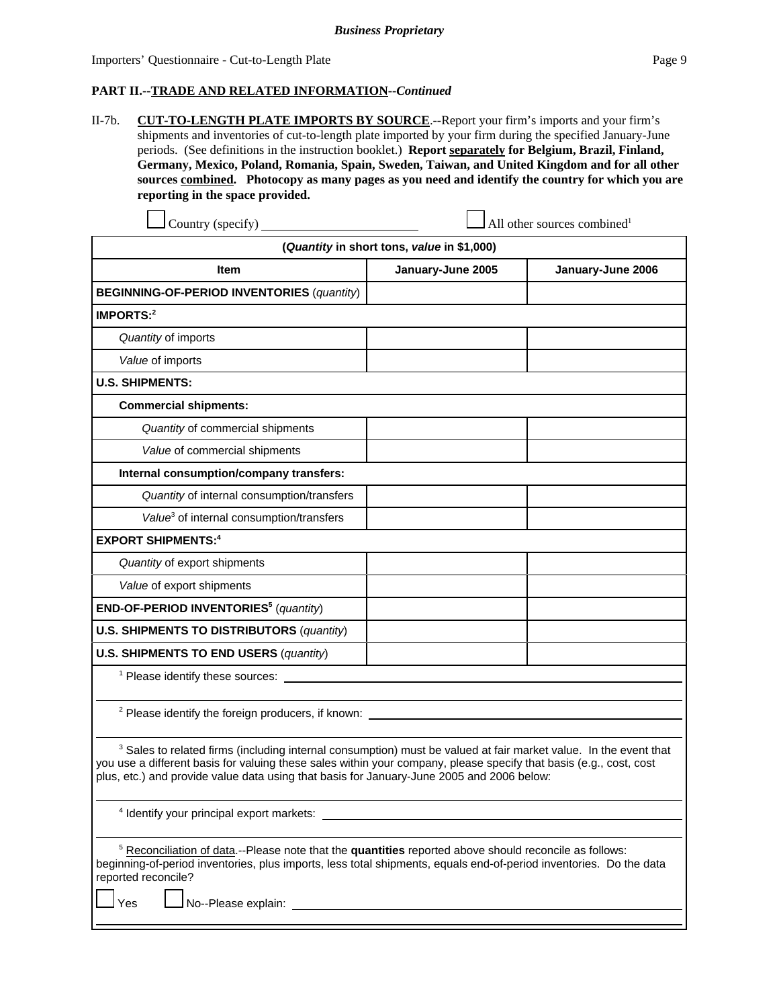II-7b. **CUT-TO-LENGTH PLATE IMPORTS BY SOURCE**.--Report your firm's imports and your firm's shipments and inventories of cut-to-length plate imported by your firm during the specified January-June periods. (See definitions in the instruction booklet.) **Report separately for Belgium, Brazil, Finland, Germany, Mexico, Poland, Romania, Spain, Sweden, Taiwan, and United Kingdom and for all other sources combined. Photocopy as many pages as you need and identify the country for which you are reporting in the space provided.**

| Country (specify)                                                                                                                                                                                                                                                                                                                              |                                            | All other sources combined <sup>1</sup> |
|------------------------------------------------------------------------------------------------------------------------------------------------------------------------------------------------------------------------------------------------------------------------------------------------------------------------------------------------|--------------------------------------------|-----------------------------------------|
|                                                                                                                                                                                                                                                                                                                                                | (Quantity in short tons, value in \$1,000) |                                         |
| Item                                                                                                                                                                                                                                                                                                                                           | January-June 2005                          | January-June 2006                       |
| <b>BEGINNING-OF-PERIOD INVENTORIES (quantity)</b>                                                                                                                                                                                                                                                                                              |                                            |                                         |
| IMPORTS: <sup>2</sup>                                                                                                                                                                                                                                                                                                                          |                                            |                                         |
| Quantity of imports                                                                                                                                                                                                                                                                                                                            |                                            |                                         |
| Value of imports                                                                                                                                                                                                                                                                                                                               |                                            |                                         |
| <b>U.S. SHIPMENTS:</b>                                                                                                                                                                                                                                                                                                                         |                                            |                                         |
| <b>Commercial shipments:</b>                                                                                                                                                                                                                                                                                                                   |                                            |                                         |
| Quantity of commercial shipments                                                                                                                                                                                                                                                                                                               |                                            |                                         |
| Value of commercial shipments                                                                                                                                                                                                                                                                                                                  |                                            |                                         |
| Internal consumption/company transfers:                                                                                                                                                                                                                                                                                                        |                                            |                                         |
| Quantity of internal consumption/transfers                                                                                                                                                                                                                                                                                                     |                                            |                                         |
| Value <sup>3</sup> of internal consumption/transfers                                                                                                                                                                                                                                                                                           |                                            |                                         |
| <b>EXPORT SHIPMENTS:4</b>                                                                                                                                                                                                                                                                                                                      |                                            |                                         |
| Quantity of export shipments                                                                                                                                                                                                                                                                                                                   |                                            |                                         |
| Value of export shipments                                                                                                                                                                                                                                                                                                                      |                                            |                                         |
| END-OF-PERIOD INVENTORIES <sup>5</sup> (quantity)                                                                                                                                                                                                                                                                                              |                                            |                                         |
| <b>U.S. SHIPMENTS TO DISTRIBUTORS (quantity)</b>                                                                                                                                                                                                                                                                                               |                                            |                                         |
| <b>U.S. SHIPMENTS TO END USERS (quantity)</b>                                                                                                                                                                                                                                                                                                  |                                            |                                         |
| <sup>1</sup> Please identify these sources:                                                                                                                                                                                                                                                                                                    |                                            |                                         |
|                                                                                                                                                                                                                                                                                                                                                |                                            |                                         |
| <sup>3</sup> Sales to related firms (including internal consumption) must be valued at fair market value. In the event that<br>you use a different basis for valuing these sales within your company, please specify that basis (e.g., cost, cost<br>plus, etc.) and provide value data using that basis for January-June 2005 and 2006 below: |                                            |                                         |
| <sup>4</sup> Identify your principal export markets:                                                                                                                                                                                                                                                                                           |                                            |                                         |
| <sup>5</sup> Reconciliation of data.--Please note that the quantities reported above should reconcile as follows:<br>beginning-of-period inventories, plus imports, less total shipments, equals end-of-period inventories. Do the data<br>reported reconcile?                                                                                 |                                            |                                         |
| No--Please explain:<br>Yes                                                                                                                                                                                                                                                                                                                     |                                            |                                         |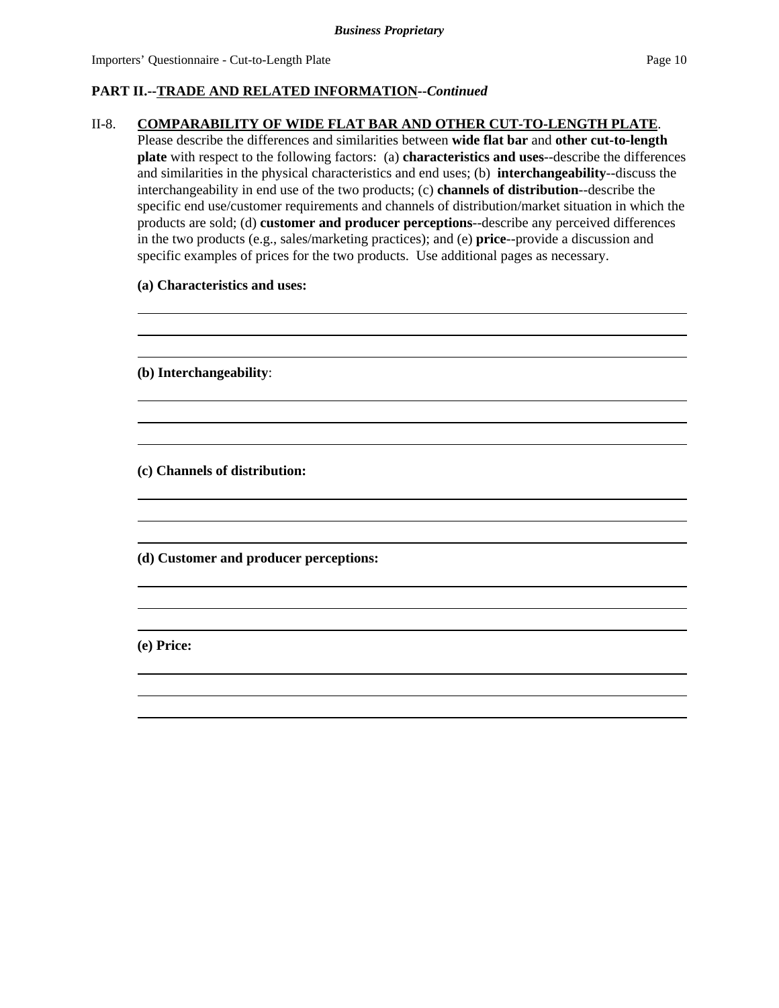### II-8. **COMPARABILITY OF WIDE FLAT BAR AND OTHER CUT-TO-LENGTH PLATE**.

Please describe the differences and similarities between **wide flat bar** and **other cut-to-length plate** with respect to the following factors: (a) **characteristics and uses**--describe the differences and similarities in the physical characteristics and end uses; (b) **interchangeability**--discuss the interchangeability in end use of the two products; (c) **channels of distribution**--describe the specific end use/customer requirements and channels of distribution/market situation in which the products are sold; (d) **customer and producer perceptions**--describe any perceived differences in the two products (e.g., sales/marketing practices); and (e) **price**--provide a discussion and specific examples of prices for the two products. Use additional pages as necessary.

> $\overline{a}$  $\overline{a}$

> $\overline{a}$  $\overline{a}$

> $\overline{a}$  $\overline{a}$

> $\overline{a}$  $\overline{a}$

> $\overline{a}$  $\overline{a}$

**(a) Characteristics and uses:**

**(b) Interchangeability**:

**(c) Channels of distribution:**

**(d) Customer and producer perceptions:**

**(e) Price:**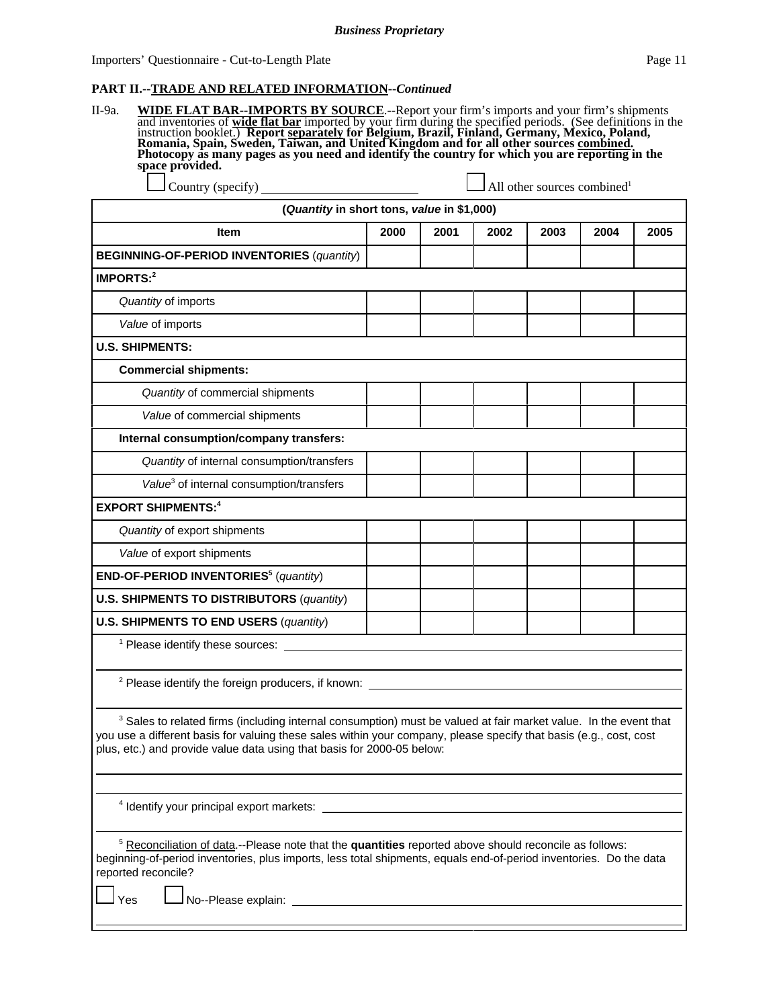| П-9а.<br>WIDE FLAT BAR--IMPORTS BY SOURCE.--Report your firm's imports and your firm's shipments<br>and inventories of wide flat bar imported by your firm during the specified periods. (See definitions in the<br>instruction booklet.) Rep<br>space provided.                                                                                                                                                     |      |      |      |      |                                         |      |
|----------------------------------------------------------------------------------------------------------------------------------------------------------------------------------------------------------------------------------------------------------------------------------------------------------------------------------------------------------------------------------------------------------------------|------|------|------|------|-----------------------------------------|------|
|                                                                                                                                                                                                                                                                                                                                                                                                                      |      |      |      |      | All other sources combined <sup>1</sup> |      |
| (Quantity in short tons, value in \$1,000)                                                                                                                                                                                                                                                                                                                                                                           | 2000 | 2001 | 2002 | 2003 | 2004                                    | 2005 |
| <b>Item</b><br><b>BEGINNING-OF-PERIOD INVENTORIES (quantity)</b>                                                                                                                                                                                                                                                                                                                                                     |      |      |      |      |                                         |      |
| IMPORTS:2                                                                                                                                                                                                                                                                                                                                                                                                            |      |      |      |      |                                         |      |
| Quantity of imports                                                                                                                                                                                                                                                                                                                                                                                                  |      |      |      |      |                                         |      |
| Value of imports                                                                                                                                                                                                                                                                                                                                                                                                     |      |      |      |      |                                         |      |
| <b>U.S. SHIPMENTS:</b>                                                                                                                                                                                                                                                                                                                                                                                               |      |      |      |      |                                         |      |
|                                                                                                                                                                                                                                                                                                                                                                                                                      |      |      |      |      |                                         |      |
| <b>Commercial shipments:</b>                                                                                                                                                                                                                                                                                                                                                                                         |      |      |      |      |                                         |      |
| Quantity of commercial shipments                                                                                                                                                                                                                                                                                                                                                                                     |      |      |      |      |                                         |      |
| Value of commercial shipments                                                                                                                                                                                                                                                                                                                                                                                        |      |      |      |      |                                         |      |
| Internal consumption/company transfers:                                                                                                                                                                                                                                                                                                                                                                              |      |      |      |      |                                         |      |
| Quantity of internal consumption/transfers                                                                                                                                                                                                                                                                                                                                                                           |      |      |      |      |                                         |      |
| Value <sup>3</sup> of internal consumption/transfers                                                                                                                                                                                                                                                                                                                                                                 |      |      |      |      |                                         |      |
| <b>EXPORT SHIPMENTS:4</b>                                                                                                                                                                                                                                                                                                                                                                                            |      |      |      |      |                                         |      |
| Quantity of export shipments                                                                                                                                                                                                                                                                                                                                                                                         |      |      |      |      |                                         |      |
| Value of export shipments                                                                                                                                                                                                                                                                                                                                                                                            |      |      |      |      |                                         |      |
| END-OF-PERIOD INVENTORIES <sup>5</sup> (quantity)                                                                                                                                                                                                                                                                                                                                                                    |      |      |      |      |                                         |      |
| <b>U.S. SHIPMENTS TO DISTRIBUTORS (quantity)</b>                                                                                                                                                                                                                                                                                                                                                                     |      |      |      |      |                                         |      |
| <b>U.S. SHIPMENTS TO END USERS (quantity)</b>                                                                                                                                                                                                                                                                                                                                                                        |      |      |      |      |                                         |      |
|                                                                                                                                                                                                                                                                                                                                                                                                                      |      |      |      |      |                                         |      |
|                                                                                                                                                                                                                                                                                                                                                                                                                      |      |      |      |      |                                         |      |
| <sup>2</sup> Please identify the foreign producers, if known:                                                                                                                                                                                                                                                                                                                                                        |      |      |      |      |                                         |      |
| <sup>3</sup> Sales to related firms (including internal consumption) must be valued at fair market value. In the event that<br>you use a different basis for valuing these sales within your company, please specify that basis (e.g., cost, cost<br>plus, etc.) and provide value data using that basis for 2000-05 below:                                                                                          |      |      |      |      |                                         |      |
| <sup>4</sup> Identify your principal export markets:                                                                                                                                                                                                                                                                                                                                                                 |      |      |      |      |                                         |      |
| <sup>5</sup> Reconciliation of data.--Please note that the quantities reported above should reconcile as follows:<br>beginning-of-period inventories, plus imports, less total shipments, equals end-of-period inventories. Do the data<br>reported reconcile?<br>No--Please explain:<br>Yes<br><u> 1980 - Jan Stein Stein Stein Stein Stein Stein Stein Stein Stein Stein Stein Stein Stein Stein Stein Stein S</u> |      |      |      |      |                                         |      |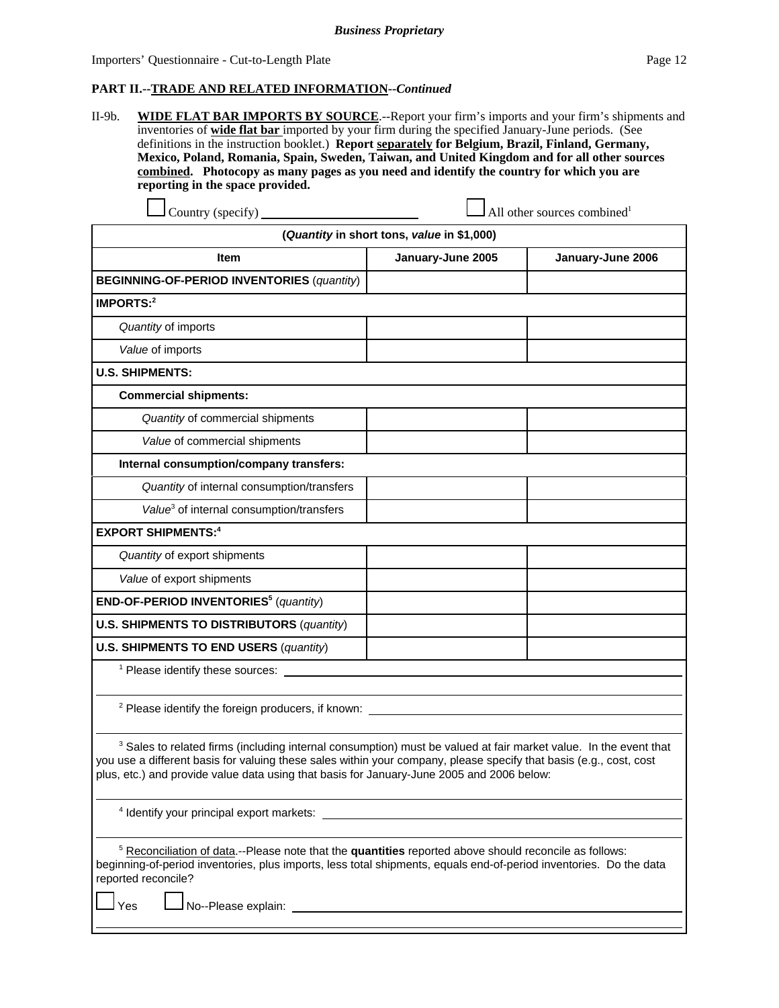II-9b. **WIDE FLAT BAR IMPORTS BY SOURCE**.--Report your firm's imports and your firm's shipments and inventories of **wide flat bar** imported by your firm during the specified January-June periods. (See definitions in the instruction booklet.) **Report separately for Belgium, Brazil, Finland, Germany, Mexico, Poland, Romania, Spain, Sweden, Taiwan, and United Kingdom and for all other sources combined. Photocopy as many pages as you need and identify the country for which you are reporting in the space provided.**

| $\Box$ Country (specify) |  |
|--------------------------|--|

All other sources combined $1$ 

|                                                                                                                                                                                                                                                                                                                                                | (Quantity in short tons, value in \$1,000) |                   |
|------------------------------------------------------------------------------------------------------------------------------------------------------------------------------------------------------------------------------------------------------------------------------------------------------------------------------------------------|--------------------------------------------|-------------------|
| Item                                                                                                                                                                                                                                                                                                                                           | January-June 2005                          | January-June 2006 |
| <b>BEGINNING-OF-PERIOD INVENTORIES (quantity)</b>                                                                                                                                                                                                                                                                                              |                                            |                   |
| IMPORTS: <sup>2</sup>                                                                                                                                                                                                                                                                                                                          |                                            |                   |
| Quantity of imports                                                                                                                                                                                                                                                                                                                            |                                            |                   |
| Value of imports                                                                                                                                                                                                                                                                                                                               |                                            |                   |
| <b>U.S. SHIPMENTS:</b>                                                                                                                                                                                                                                                                                                                         |                                            |                   |
| <b>Commercial shipments:</b>                                                                                                                                                                                                                                                                                                                   |                                            |                   |
| Quantity of commercial shipments                                                                                                                                                                                                                                                                                                               |                                            |                   |
| Value of commercial shipments                                                                                                                                                                                                                                                                                                                  |                                            |                   |
| Internal consumption/company transfers:                                                                                                                                                                                                                                                                                                        |                                            |                   |
| Quantity of internal consumption/transfers                                                                                                                                                                                                                                                                                                     |                                            |                   |
| Value <sup>3</sup> of internal consumption/transfers                                                                                                                                                                                                                                                                                           |                                            |                   |
| <b>EXPORT SHIPMENTS:4</b>                                                                                                                                                                                                                                                                                                                      |                                            |                   |
| Quantity of export shipments                                                                                                                                                                                                                                                                                                                   |                                            |                   |
| Value of export shipments                                                                                                                                                                                                                                                                                                                      |                                            |                   |
| END-OF-PERIOD INVENTORIES <sup>5</sup> (quantity)                                                                                                                                                                                                                                                                                              |                                            |                   |
| <b>U.S. SHIPMENTS TO DISTRIBUTORS (quantity)</b>                                                                                                                                                                                                                                                                                               |                                            |                   |
| <b>U.S. SHIPMENTS TO END USERS (quantity)</b>                                                                                                                                                                                                                                                                                                  |                                            |                   |
| <sup>1</sup> Please identify these sources:                                                                                                                                                                                                                                                                                                    |                                            |                   |
|                                                                                                                                                                                                                                                                                                                                                |                                            |                   |
| <sup>2</sup> Please identify the foreign producers, if known:                                                                                                                                                                                                                                                                                  |                                            |                   |
| <sup>3</sup> Sales to related firms (including internal consumption) must be valued at fair market value. In the event that<br>you use a different basis for valuing these sales within your company, please specify that basis (e.g., cost, cost<br>plus, etc.) and provide value data using that basis for January-June 2005 and 2006 below: |                                            |                   |
| <sup>4</sup> Identify your principal export markets: _                                                                                                                                                                                                                                                                                         |                                            |                   |
|                                                                                                                                                                                                                                                                                                                                                |                                            |                   |
| <sup>5</sup> Reconciliation of data.--Please note that the quantities reported above should reconcile as follows:<br>beginning-of-period inventories, plus imports, less total shipments, equals end-of-period inventories. Do the data<br>reported reconcile?                                                                                 |                                            |                   |
| No--Please explain:<br>Yes                                                                                                                                                                                                                                                                                                                     |                                            |                   |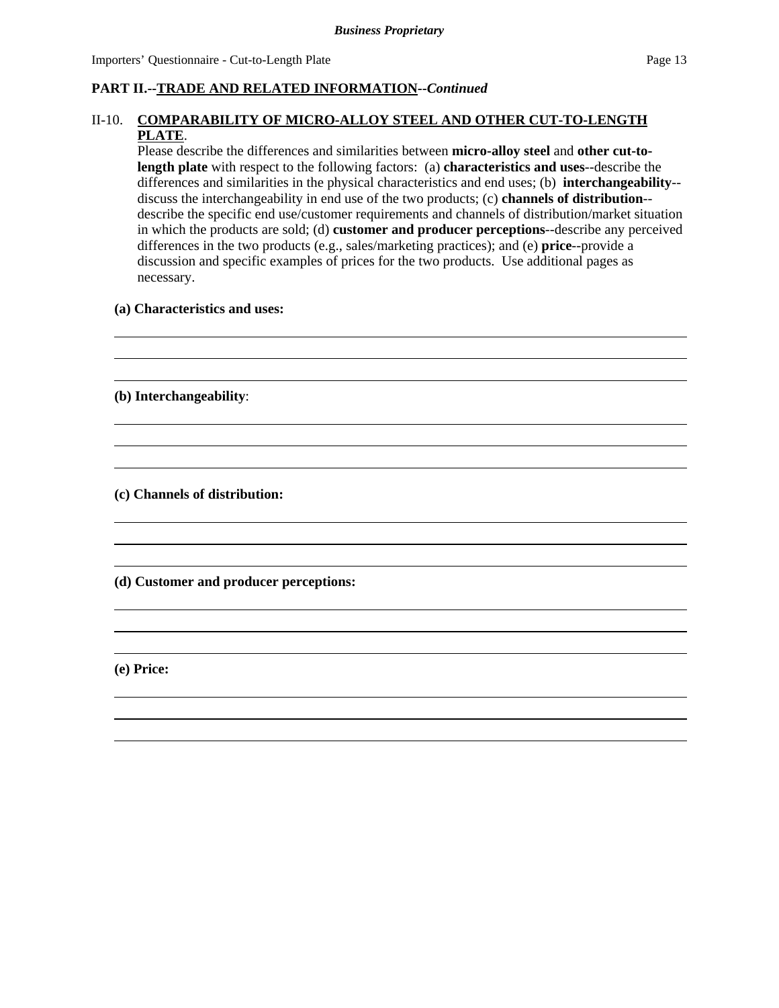## II-10. **COMPARABILITY OF MICRO-ALLOY STEEL AND OTHER CUT-TO-LENGTH PLATE**.

Please describe the differences and similarities between **micro-alloy steel** and **other cut-tolength plate** with respect to the following factors: (a) **characteristics and uses**--describe the differences and similarities in the physical characteristics and end uses; (b) **interchangeability**- discuss the interchangeability in end use of the two products; (c) **channels of distribution**- describe the specific end use/customer requirements and channels of distribution/market situation in which the products are sold; (d) **customer and producer perceptions**--describe any perceived differences in the two products (e.g., sales/marketing practices); and (e) **price**--provide a discussion and specific examples of prices for the two products. Use additional pages as necessary.

> $\overline{a}$  $\overline{a}$

> $\overline{a}$  $\overline{a}$

> $\overline{a}$  $\overline{a}$

> $\overline{a}$  $\overline{a}$

> $\overline{a}$  $\overline{a}$

### **(a) Characteristics and uses:**

**(b) Interchangeability**:

**(c) Channels of distribution:**

**(d) Customer and producer perceptions:**

**(e) Price:**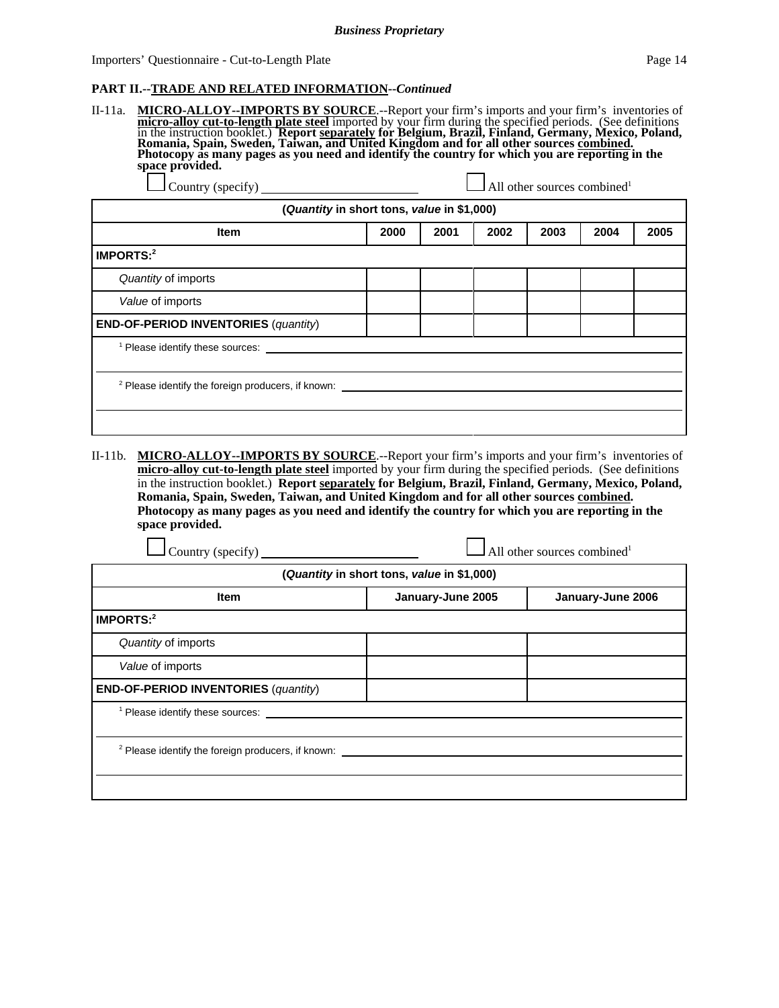#### *Business Proprietary*

#### **PART II.--TRADE AND RELATED INFORMATION--***Continued*

II-11a. **MICRO-ALLOY--IMPORTS BY SOURCE**.--Report your firm's imports and your firm's inventories of micro-alloy cut-to-length plate steel imported by your firm during the specified periods. (See definitions in the instruc

| All other sources combined <sup>1</sup><br>Country (specify)  |      |      |      |      |      |      |
|---------------------------------------------------------------|------|------|------|------|------|------|
| (Quantity in short tons, value in \$1,000)                    |      |      |      |      |      |      |
| <b>Item</b>                                                   | 2000 | 2001 | 2002 | 2003 | 2004 | 2005 |
| IMPORTS: <sup>2</sup>                                         |      |      |      |      |      |      |
| Quantity of imports                                           |      |      |      |      |      |      |
| Value of imports                                              |      |      |      |      |      |      |
| END-OF-PERIOD INVENTORIES (quantity)                          |      |      |      |      |      |      |
| <sup>1</sup> Please identify these sources: ____              |      |      |      |      |      |      |
| <sup>2</sup> Please identify the foreign producers, if known: |      |      |      |      |      |      |

#### II-11b. **MICRO-ALLOY--IMPORTS BY SOURCE**.--Report your firm's imports and your firm's inventories of **micro-alloy cut-to-length plate steel** imported by your firm during the specified periods. (See definitions in the instruction booklet.) **Report separately for Belgium, Brazil, Finland, Germany, Mexico, Poland, Romania, Spain, Sweden, Taiwan, and United Kingdom and for all other sources combined. Photocopy as many pages as you need and identify the country for which you are reporting in the space provided.**

| All other sources combined <sup>1</sup>    |                                                               |  |
|--------------------------------------------|---------------------------------------------------------------|--|
| (Quantity in short tons, value in \$1,000) |                                                               |  |
| January-June 2005                          | January-June 2006                                             |  |
|                                            |                                                               |  |
|                                            |                                                               |  |
|                                            |                                                               |  |
|                                            |                                                               |  |
|                                            |                                                               |  |
|                                            |                                                               |  |
|                                            |                                                               |  |
|                                            |                                                               |  |
|                                            | <sup>2</sup> Please identify the foreign producers, if known: |  |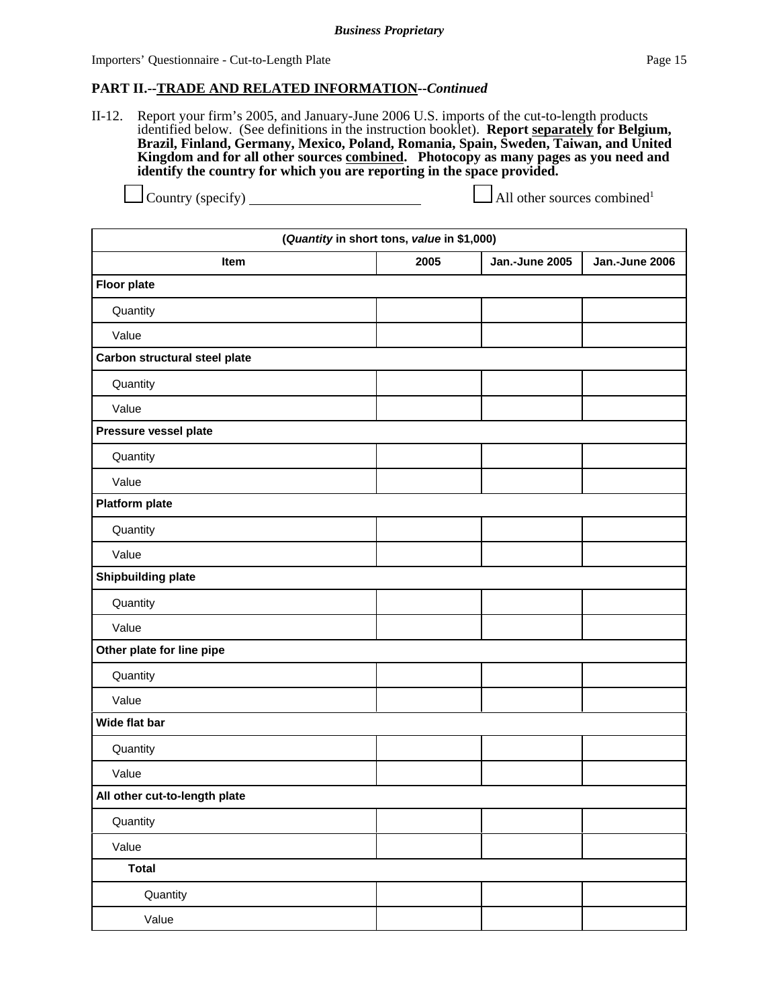II-12. Report your firm's 2005, and January-June 2006 U.S. imports of the cut-to-length products identified below. (See definitions in the instruction booklet). **Report separately for Belgium, Brazil, Finland, Germany, Mexico, Poland, Romania, Spain, Sweden, Taiwan, and United Kingdom and for all other sources combined. Photocopy as many pages as you need and identify the country for which you are reporting in the space provided.**

Country (specify) All other sources combined1

| (Quantity in short tons, value in \$1,000) |      |                |                |
|--------------------------------------------|------|----------------|----------------|
| Item                                       | 2005 | Jan.-June 2005 | Jan.-June 2006 |
| <b>Floor plate</b>                         |      |                |                |
| Quantity                                   |      |                |                |
| Value                                      |      |                |                |
| Carbon structural steel plate              |      |                |                |
| Quantity                                   |      |                |                |
| Value                                      |      |                |                |
| Pressure vessel plate                      |      |                |                |
| Quantity                                   |      |                |                |
| Value                                      |      |                |                |
| <b>Platform plate</b>                      |      |                |                |
| Quantity                                   |      |                |                |
| Value                                      |      |                |                |
| <b>Shipbuilding plate</b>                  |      |                |                |
| Quantity                                   |      |                |                |
| Value                                      |      |                |                |
| Other plate for line pipe                  |      |                |                |
| Quantity                                   |      |                |                |
| Value                                      |      |                |                |
| Wide flat bar                              |      |                |                |
| Quantity                                   |      |                |                |
| Value                                      |      |                |                |
| All other cut-to-length plate              |      |                |                |
| Quantity                                   |      |                |                |
| Value                                      |      |                |                |
| <b>Total</b>                               |      |                |                |
| Quantity                                   |      |                |                |
| Value                                      |      |                |                |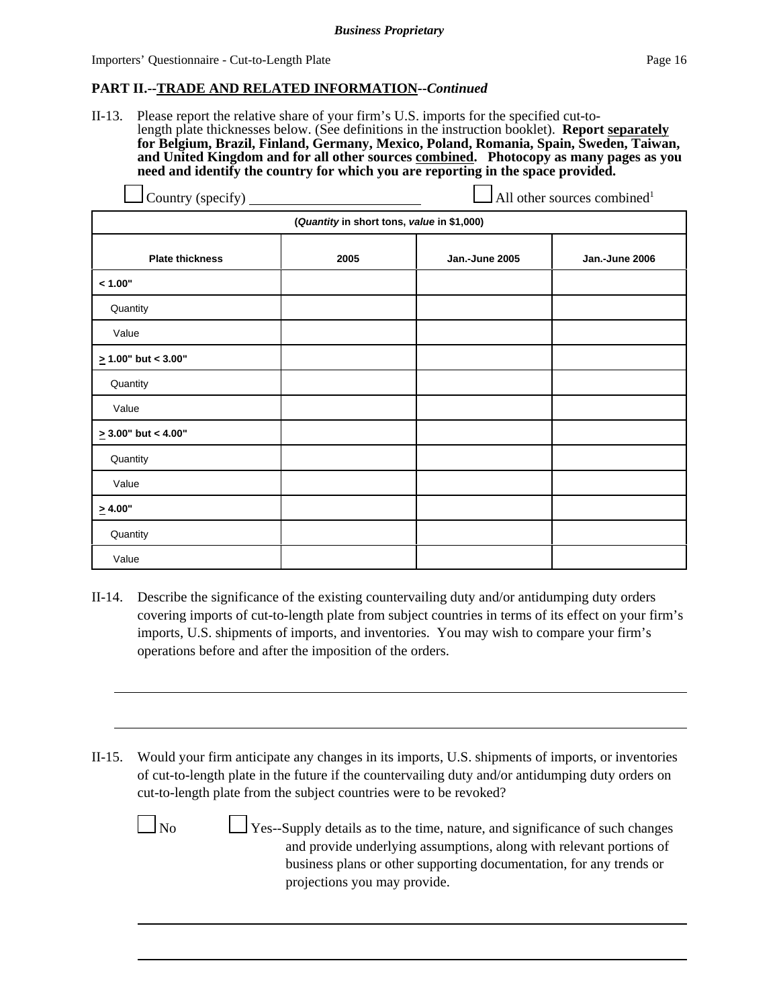II-13. Please report the relative share of your firm's U.S. imports for the specified cut-tolength plate thicknesses below. (See definitions in the instruction booklet). **Report separately for Belgium, Brazil, Finland, Germany, Mexico, Poland, Romania, Spain, Sweden, Taiwan, and United Kingdom and for all other sources combined. Photocopy as many pages as you need and identify the country for which you are reporting in the space provided.**

|                           |                                            | All other sources combined <sup>1</sup> |                |  |  |
|---------------------------|--------------------------------------------|-----------------------------------------|----------------|--|--|
|                           | (Quantity in short tons, value in \$1,000) |                                         |                |  |  |
| <b>Plate thickness</b>    | 2005                                       | Jan.-June 2005                          | Jan.-June 2006 |  |  |
| < 1.00"                   |                                            |                                         |                |  |  |
| Quantity                  |                                            |                                         |                |  |  |
| Value                     |                                            |                                         |                |  |  |
| $\geq 1.00$ " but < 3.00" |                                            |                                         |                |  |  |
| Quantity                  |                                            |                                         |                |  |  |
| Value                     |                                            |                                         |                |  |  |
| $\geq 3.00$ " but < 4.00" |                                            |                                         |                |  |  |
| Quantity                  |                                            |                                         |                |  |  |
| Value                     |                                            |                                         |                |  |  |
| $\geq 4.00"$              |                                            |                                         |                |  |  |
| Quantity                  |                                            |                                         |                |  |  |
| Value                     |                                            |                                         |                |  |  |

- II-14. Describe the significance of the existing countervailing duty and/or antidumping duty orders covering imports of cut-to-length plate from subject countries in terms of its effect on your firm's imports, U.S. shipments of imports, and inventories. You may wish to compare your firm's operations before and after the imposition of the orders.
- II-15. Would your firm anticipate any changes in its imports, U.S. shipments of imports, or inventories of cut-to-length plate in the future if the countervailing duty and/or antidumping duty orders on cut-to-length plate from the subject countries were to be revoked?

 $\Box$  No  $\Box$  Yes--Supply details as to the time, nature, and significance of such changes and provide underlying assumptions, along with relevant portions of business plans or other supporting documentation, for any trends or projections you may provide.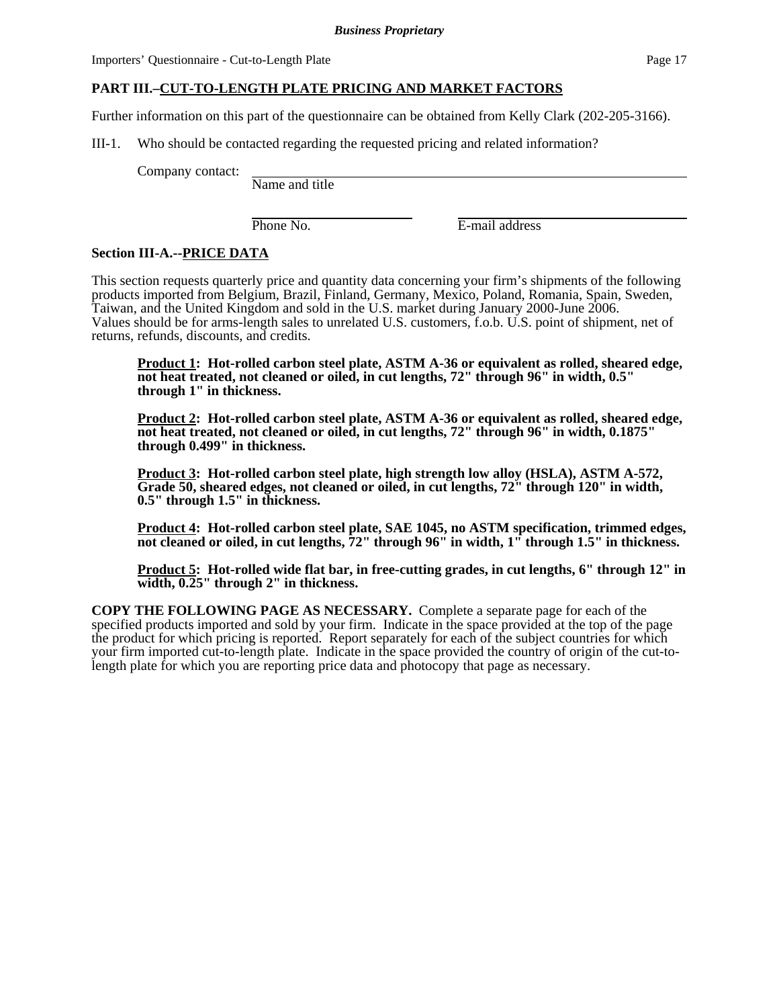Importers' Questionnaire - Cut-to-Length Plate Page 17

# **PART III.–CUT-TO-LENGTH PLATE PRICING AND MARKET FACTORS**

Further information on this part of the questionnaire can be obtained from Kelly Clark (202-205-3166).

III-1. Who should be contacted regarding the requested pricing and related information?

Company contact:

Name and title

Phone No. **E**-mail address

## **Section III-A.--PRICE DATA**

This section requests quarterly price and quantity data concerning your firm's shipments of the following products imported from Belgium, Brazil, Finland, Germany, Mexico, Poland, Romania, Spain, Sweden, Taiwan, and the United Kingdom and sold in the U.S. market during January 2000-June 2006. Values should be for arms-length sales to unrelated U.S. customers, f.o.b. U.S. point of shipment, net of returns, refunds, discounts, and credits.

**Product 1: Hot-rolled carbon steel plate, ASTM A-36 or equivalent as rolled, sheared edge, not heat treated, not cleaned or oiled, in cut lengths, 72" through 96" in width, 0.5" through 1" in thickness.** 

**Product 2: Hot-rolled carbon steel plate, ASTM A-36 or equivalent as rolled, sheared edge, not heat treated, not cleaned or oiled, in cut lengths, 72" through 96" in width, 0.1875" through 0.499" in thickness.**

**Product 3: Hot-rolled carbon steel plate, high strength low alloy (HSLA), ASTM A-572, Grade 50, sheared edges, not cleaned or oiled, in cut lengths, 72" through 120" in width, 0.5" through 1.5" in thickness.** 

**Product 4: Hot-rolled carbon steel plate, SAE 1045, no ASTM specification, trimmed edges, not cleaned or oiled, in cut lengths, 72" through 96" in width, 1" through 1.5" in thickness.**

**Product 5: Hot-rolled wide flat bar, in free-cutting grades, in cut lengths, 6" through 12" in width, 0.25" through 2" in thickness.**

**COPY THE FOLLOWING PAGE AS NECESSARY.** Complete a separate page for each of the specified products imported and sold by your firm. Indicate in the space provided at the top of the page the product for which pricing is reported. Report separately for each of the subject countries for which your firm imported cut-to-length plate. Indicate in the space provided the country of origin of the cut-tolength plate for which you are reporting price data and photocopy that page as necessary.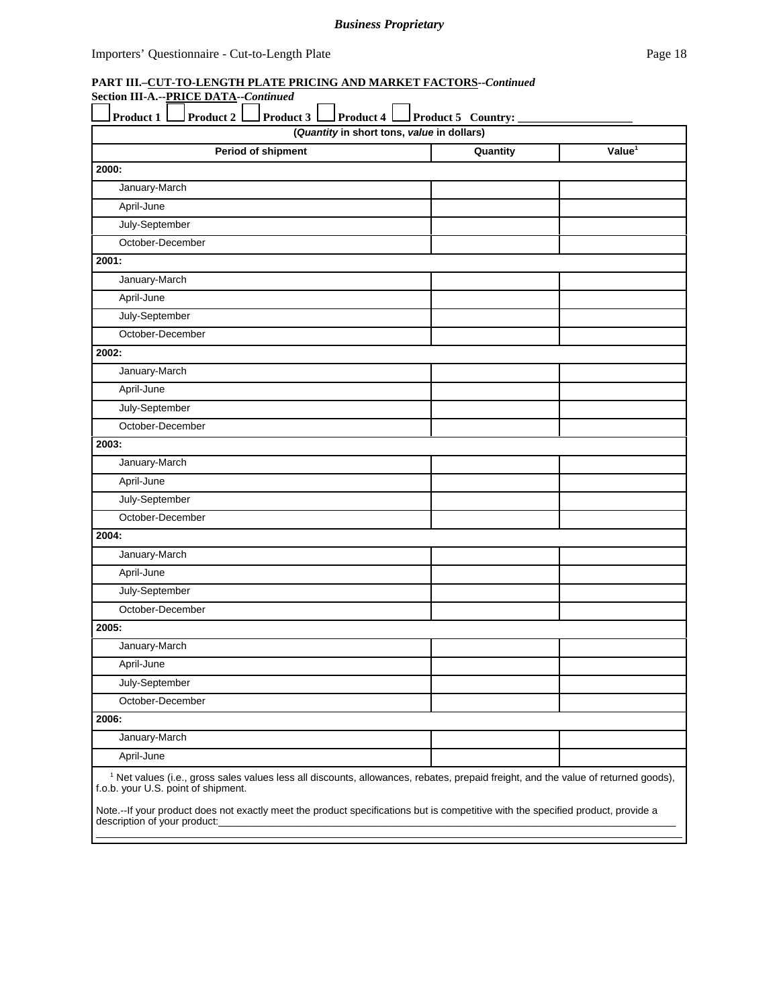| Product 1        | <b>Product 2</b> | Product 3          | Product 4                                  |  | <b>Product 5 Country:</b> |                    |
|------------------|------------------|--------------------|--------------------------------------------|--|---------------------------|--------------------|
|                  |                  |                    | (Quantity in short tons, value in dollars) |  |                           |                    |
|                  |                  | Period of shipment |                                            |  | Quantity                  | Value <sup>1</sup> |
| 2000:            |                  |                    |                                            |  |                           |                    |
| January-March    |                  |                    |                                            |  |                           |                    |
| April-June       |                  |                    |                                            |  |                           |                    |
| July-September   |                  |                    |                                            |  |                           |                    |
| October-December |                  |                    |                                            |  |                           |                    |
| 2001:            |                  |                    |                                            |  |                           |                    |
| January-March    |                  |                    |                                            |  |                           |                    |
| April-June       |                  |                    |                                            |  |                           |                    |
| July-September   |                  |                    |                                            |  |                           |                    |
| October-December |                  |                    |                                            |  |                           |                    |
| 2002:            |                  |                    |                                            |  |                           |                    |
| January-March    |                  |                    |                                            |  |                           |                    |
| April-June       |                  |                    |                                            |  |                           |                    |
| July-September   |                  |                    |                                            |  |                           |                    |
| October-December |                  |                    |                                            |  |                           |                    |
| 2003:            |                  |                    |                                            |  |                           |                    |
| January-March    |                  |                    |                                            |  |                           |                    |
| April-June       |                  |                    |                                            |  |                           |                    |
| July-September   |                  |                    |                                            |  |                           |                    |
| October-December |                  |                    |                                            |  |                           |                    |
| 2004:            |                  |                    |                                            |  |                           |                    |
| January-March    |                  |                    |                                            |  |                           |                    |
| April-June       |                  |                    |                                            |  |                           |                    |
| July-September   |                  |                    |                                            |  |                           |                    |
| October-December |                  |                    |                                            |  |                           |                    |
| 2005:            |                  |                    |                                            |  |                           |                    |
| January-March    |                  |                    |                                            |  |                           |                    |
| April-June       |                  |                    |                                            |  |                           |                    |
|                  | July-September   |                    |                                            |  |                           |                    |
| October-December |                  |                    |                                            |  |                           |                    |
| 2006:            |                  |                    |                                            |  |                           |                    |
| January-March    |                  |                    |                                            |  |                           |                    |
| April-June       |                  |                    |                                            |  |                           |                    |

f.o.b. your U.S. point of shipment.

Note.--If your product does not exactly meet the product specifications but is competitive with the specified product, provide a description of your product:\_\_\_\_\_\_\_\_\_\_\_\_\_\_\_\_\_\_\_\_\_\_\_\_\_\_\_\_\_\_\_\_\_\_\_\_\_\_\_\_\_\_\_\_\_\_\_\_\_\_\_\_\_\_\_\_\_\_\_\_\_\_\_\_\_\_\_\_\_\_\_\_\_\_\_\_\_\_\_\_\_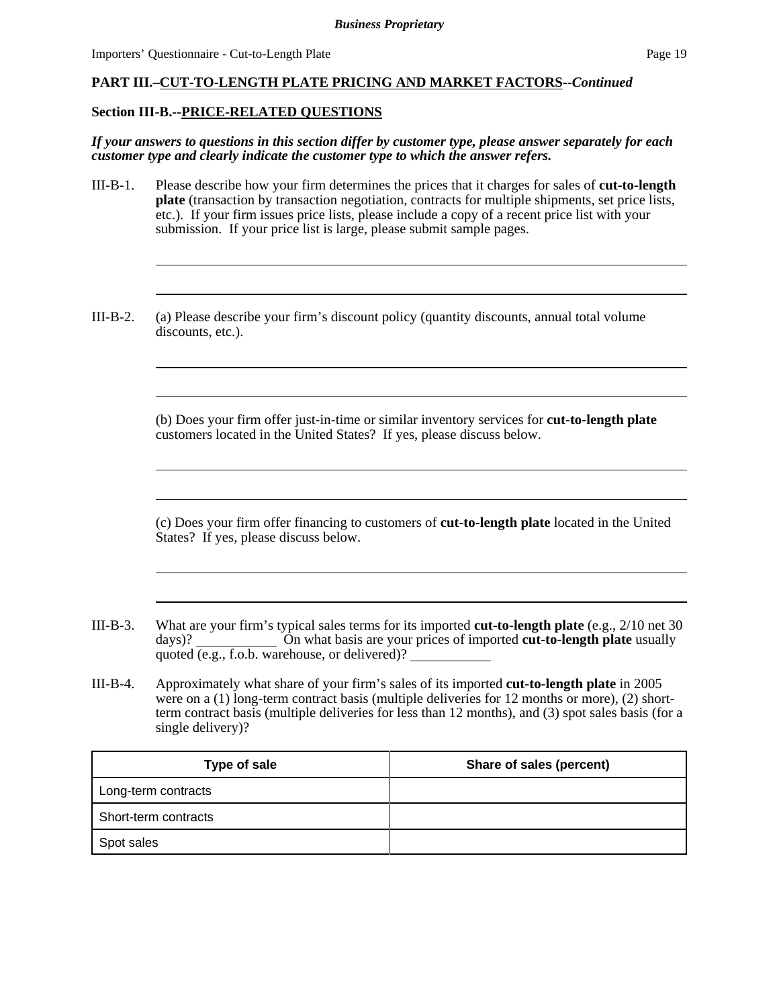# **Section III-B.--PRICE-RELATED QUESTIONS**

*If your answers to questions in this section differ by customer type, please answer separately for each customer type and clearly indicate the customer type to which the answer refers.* 

- III-B-1. Please describe how your firm determines the prices that it charges for sales of **cut-to-length plate** (transaction by transaction negotiation, contracts for multiple shipments, set price lists, etc.). If your firm issues price lists, please include a copy of a recent price list with your submission. If your price list is large, please submit sample pages.
- III-B-2. (a) Please describe your firm's discount policy (quantity discounts, annual total volume discounts, etc.).

(b) Does your firm offer just-in-time or similar inventory services for **cut-to-length plate**  customers located in the United States? If yes, please discuss below.

(c) Does your firm offer financing to customers of **cut-to-length plate** located in the United States? If yes, please discuss below.

- III-B-3. What are your firm's typical sales terms for its imported **cut-to-length plate** (e.g., 2/10 net 30 days)? On what basis are your prices of imported **cut-to-length plate** usually quoted (e.g., f.o.b. warehouse, or delivered)?
- III-B-4. Approximately what share of your firm's sales of its imported **cut-to-length plate** in 2005 were on a (1) long-term contract basis (multiple deliveries for 12 months or more), (2) shortterm contract basis (multiple deliveries for less than 12 months), and (3) spot sales basis (for a single delivery)?

| Type of sale         | Share of sales (percent) |
|----------------------|--------------------------|
| Long-term contracts  |                          |
| Short-term contracts |                          |
| Spot sales           |                          |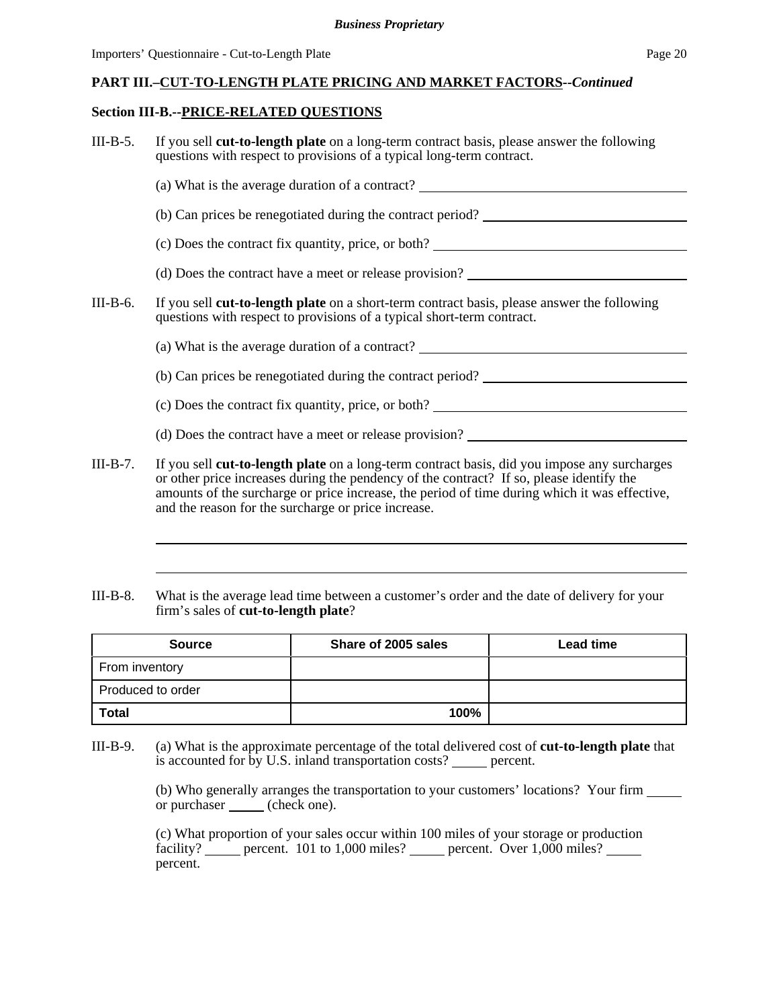## **Section III-B.--PRICE-RELATED QUESTIONS**

| $III-B-5.$ | If you sell <b>cut-to-length plate</b> on a long-term contract basis, please answer the following<br>questions with respect to provisions of a typical long-term contract.                                                                                                                                                                              |
|------------|---------------------------------------------------------------------------------------------------------------------------------------------------------------------------------------------------------------------------------------------------------------------------------------------------------------------------------------------------------|
|            | (a) What is the average duration of a contract?                                                                                                                                                                                                                                                                                                         |
|            |                                                                                                                                                                                                                                                                                                                                                         |
|            | $(c)$ Does the contract fix quantity, price, or both?                                                                                                                                                                                                                                                                                                   |
|            | (d) Does the contract have a meet or release provision?                                                                                                                                                                                                                                                                                                 |
| $III-B-6.$ | If you sell cut-to-length plate on a short-term contract basis, please answer the following<br>questions with respect to provisions of a typical short-term contract.                                                                                                                                                                                   |
|            | (a) What is the average duration of a contract? _________________________________                                                                                                                                                                                                                                                                       |
|            | (b) Can prices be renegotiated during the contract period?                                                                                                                                                                                                                                                                                              |
|            | (c) Does the contract fix quantity, price, or both?                                                                                                                                                                                                                                                                                                     |
|            | (d) Does the contract have a meet or release provision?                                                                                                                                                                                                                                                                                                 |
| $III-B-7.$ | If you sell <b>cut-to-length plate</b> on a long-term contract basis, did you impose any surcharges<br>or other price increases during the pendency of the contract? If so, please identify the<br>amounts of the surcharge or price increase, the period of time during which it was effective,<br>and the reason for the surcharge or price increase. |

III-B-8. What is the average lead time between a customer's order and the date of delivery for your firm's sales of **cut-to-length plate**?

| <b>Source</b>     | Share of 2005 sales | <b>Lead time</b> |
|-------------------|---------------------|------------------|
| From inventory    |                     |                  |
| Produced to order |                     |                  |
| <b>Total</b>      | 100%                |                  |

III-B-9. (a) What is the approximate percentage of the total delivered cost of **cut-to-length plate** that is accounted for by U.S. inland transportation costs?  $\qquad$  percent.

> (b) Who generally arranges the transportation to your customers' locations? Your firm or purchaser (check one).

(c) What proportion of your sales occur within 100 miles of your storage or production facility? percent. 101 to 1,000 miles? percent. Over  $1,000$  miles? percent.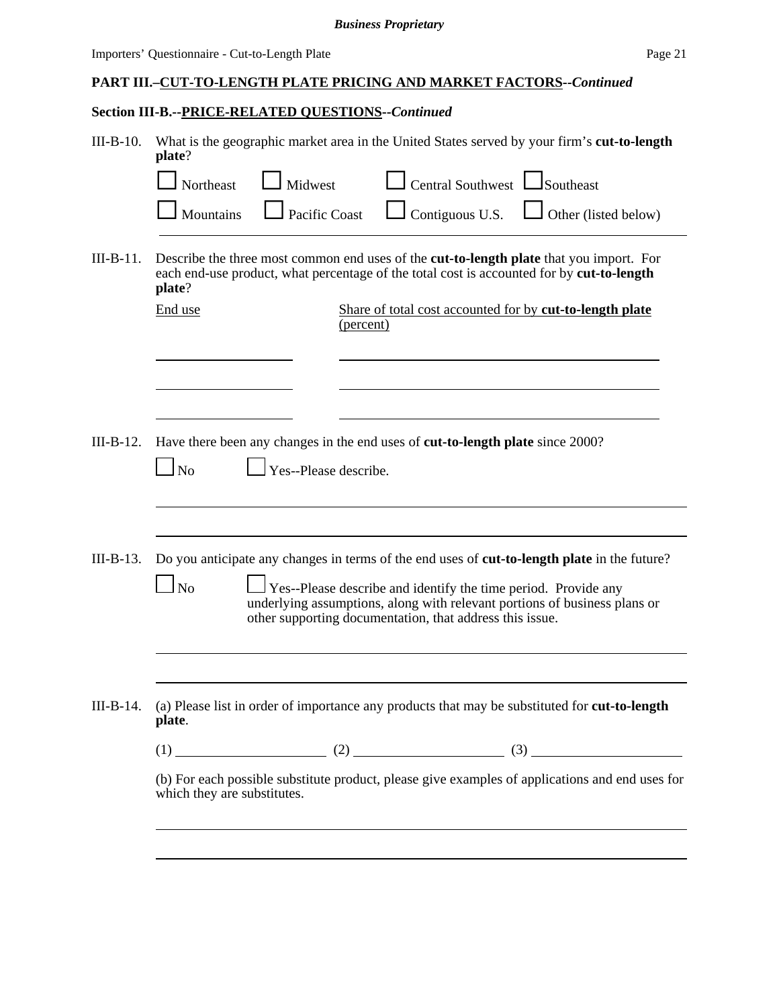### *Business Proprietary*

# **PART III.–CUT-TO-LENGTH PLATE PRICING AND MARKET FACTORS--***Continued*

# **Section III-B.--PRICE-RELATED QUESTIONS--***Continued*

| $III-B-10.$ | What is the geographic market area in the United States served by your firm's cut-to-length<br>plate?                                                                                                            |  |  |  |  |
|-------------|------------------------------------------------------------------------------------------------------------------------------------------------------------------------------------------------------------------|--|--|--|--|
|             | Central Southwest  <br>Northeast<br>Midwest<br><b>S</b> outheast                                                                                                                                                 |  |  |  |  |
|             | Pacific Coast<br>$\sqrt{\frac{1}{1}}$ Contiguous U.S.<br>Other (listed below)<br>Mountains                                                                                                                       |  |  |  |  |
| $III-B-11.$ | Describe the three most common end uses of the <b>cut-to-length plate</b> that you import. For<br>each end-use product, what percentage of the total cost is accounted for by cut-to-length<br>plate?            |  |  |  |  |
|             | End use<br>Share of total cost accounted for by cut-to-length plate<br>(percent)                                                                                                                                 |  |  |  |  |
|             |                                                                                                                                                                                                                  |  |  |  |  |
|             |                                                                                                                                                                                                                  |  |  |  |  |
| $III-B-12.$ | Have there been any changes in the end uses of <b>cut-to-length plate</b> since 2000?<br>Yes--Please describe.<br>N <sub>o</sub>                                                                                 |  |  |  |  |
| $III-B-13.$ | Do you anticipate any changes in terms of the end uses of cut-to-length plate in the future?                                                                                                                     |  |  |  |  |
|             | $\ln$<br>Yes--Please describe and identify the time period. Provide any<br>underlying assumptions, along with relevant portions of business plans or<br>other supporting documentation, that address this issue. |  |  |  |  |
|             |                                                                                                                                                                                                                  |  |  |  |  |
| $III-B-14.$ | (a) Please list in order of importance any products that may be substituted for <b>cut-to-length</b><br>plate.                                                                                                   |  |  |  |  |
|             |                                                                                                                                                                                                                  |  |  |  |  |
|             | (b) For each possible substitute product, please give examples of applications and end uses for<br>which they are substitutes.                                                                                   |  |  |  |  |
|             |                                                                                                                                                                                                                  |  |  |  |  |
|             |                                                                                                                                                                                                                  |  |  |  |  |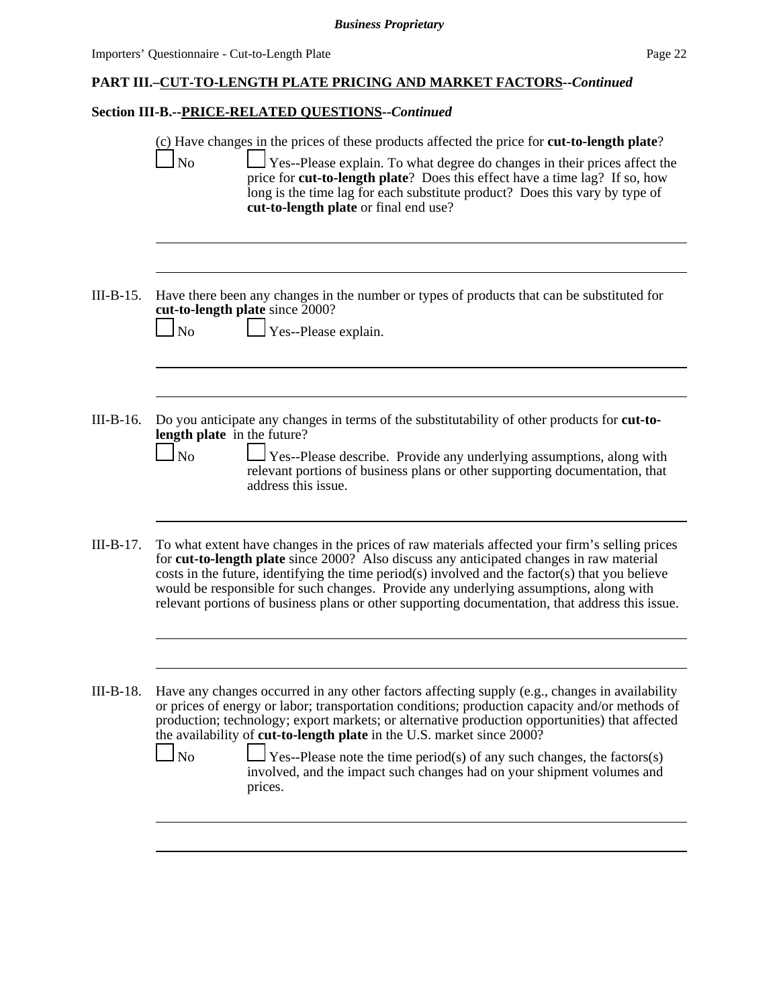# **Section III-B.--PRICE-RELATED QUESTIONS--***Continued*

|             | (c) Have changes in the prices of these products affected the price for <b>cut-to-length plate</b> ?<br>$\overline{\text{No}}$<br>Yes--Please explain. To what degree do changes in their prices affect the<br>price for cut-to-length plate? Does this effect have a time lag? If so, how<br>long is the time lag for each substitute product? Does this vary by type of<br>cut-to-length plate or final end use?                                                                                                                                                     |
|-------------|------------------------------------------------------------------------------------------------------------------------------------------------------------------------------------------------------------------------------------------------------------------------------------------------------------------------------------------------------------------------------------------------------------------------------------------------------------------------------------------------------------------------------------------------------------------------|
| $III-B-15.$ | Have there been any changes in the number or types of products that can be substituted for<br>cut-to-length plate since 2000?<br>N <sub>o</sub><br>Yes--Please explain.                                                                                                                                                                                                                                                                                                                                                                                                |
| III-B-16.   | Do you anticipate any changes in terms of the substitutability of other products for cut-to-<br>length plate in the future?<br>$\overline{\rm No}$<br>Yes--Please describe. Provide any underlying assumptions, along with<br>relevant portions of business plans or other supporting documentation, that<br>address this issue.                                                                                                                                                                                                                                       |
| III-B-17.   | To what extent have changes in the prices of raw materials affected your firm's selling prices<br>for cut-to-length plate since 2000? Also discuss any anticipated changes in raw material<br>costs in the future, identifying the time period(s) involved and the factor(s) that you believe<br>would be responsible for such changes. Provide any underlying assumptions, along with<br>relevant portions of business plans or other supporting documentation, that address this issue.                                                                              |
| $III-B-18.$ | Have any changes occurred in any other factors affecting supply (e.g., changes in availability<br>or prices of energy or labor; transportation conditions; production capacity and/or methods of<br>production; technology; export markets; or alternative production opportunities) that affected<br>the availability of <b>cut-to-length plate</b> in the U.S. market since 2000?<br>$\mathbf{I}$ No<br>Yes--Please note the time period(s) of any such changes, the factors(s)<br>involved, and the impact such changes had on your shipment volumes and<br>prices. |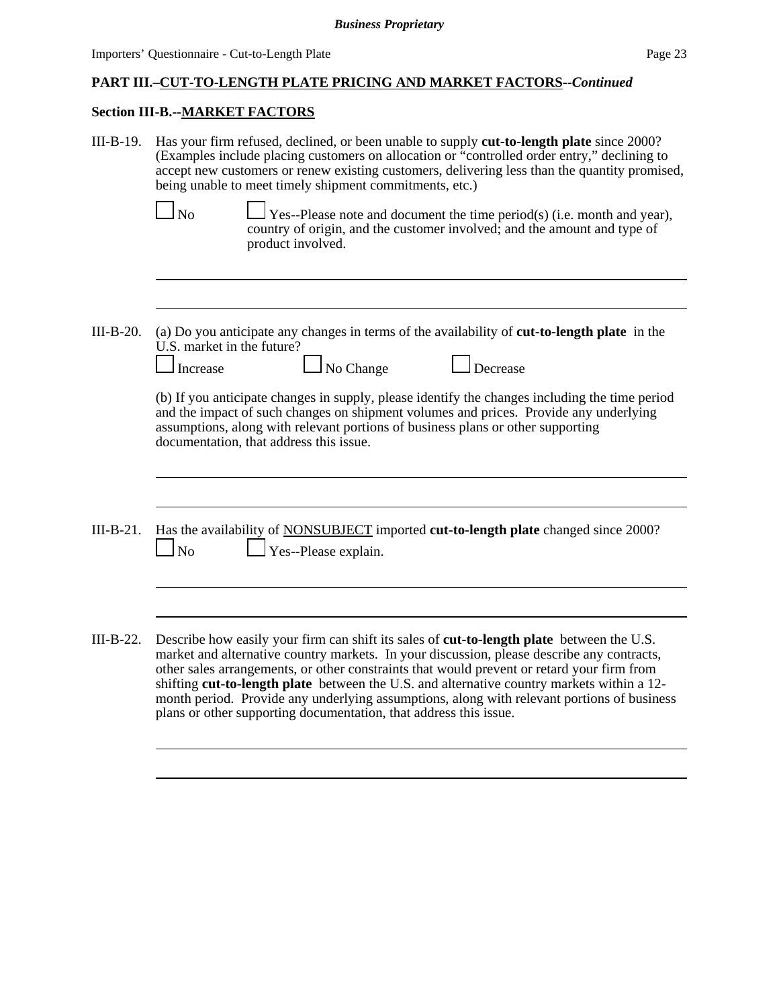# **Section III-B.--MARKET FACTORS**

| III-B-19.   | Has your firm refused, declined, or been unable to supply cut-to-length plate since 2000?<br>(Examples include placing customers on allocation or "controlled order entry," declining to<br>accept new customers or renew existing customers, delivering less than the quantity promised,<br>being unable to meet timely shipment commitments, etc.)                                                                                                                                                                                                          |
|-------------|---------------------------------------------------------------------------------------------------------------------------------------------------------------------------------------------------------------------------------------------------------------------------------------------------------------------------------------------------------------------------------------------------------------------------------------------------------------------------------------------------------------------------------------------------------------|
|             | $\Box$ No<br>$\Box$ Yes--Please note and document the time period(s) (i.e. month and year),<br>country of origin, and the customer involved; and the amount and type of<br>product involved.                                                                                                                                                                                                                                                                                                                                                                  |
| $III-B-20.$ | (a) Do you anticipate any changes in terms of the availability of <b>cut-to-length plate</b> in the<br>U.S. market in the future?<br>$\Box$ No Change<br>Decrease<br>Increase                                                                                                                                                                                                                                                                                                                                                                                 |
|             | (b) If you anticipate changes in supply, please identify the changes including the time period<br>and the impact of such changes on shipment volumes and prices. Provide any underlying<br>assumptions, along with relevant portions of business plans or other supporting<br>documentation, that address this issue.                                                                                                                                                                                                                                         |
| $III-B-21.$ | Has the availability of NONSUBJECT imported cut-to-length plate changed since 2000?<br>$\ln$<br>Yes--Please explain.                                                                                                                                                                                                                                                                                                                                                                                                                                          |
| $III-B-22.$ | Describe how easily your firm can shift its sales of <b>cut-to-length plate</b> between the U.S.<br>market and alternative country markets. In your discussion, please describe any contracts,<br>other sales arrangements, or other constraints that would prevent or retard your firm from<br>shifting cut-to-length plate between the U.S. and alternative country markets within a 12-<br>month period. Provide any underlying assumptions, along with relevant portions of business<br>plans or other supporting documentation, that address this issue. |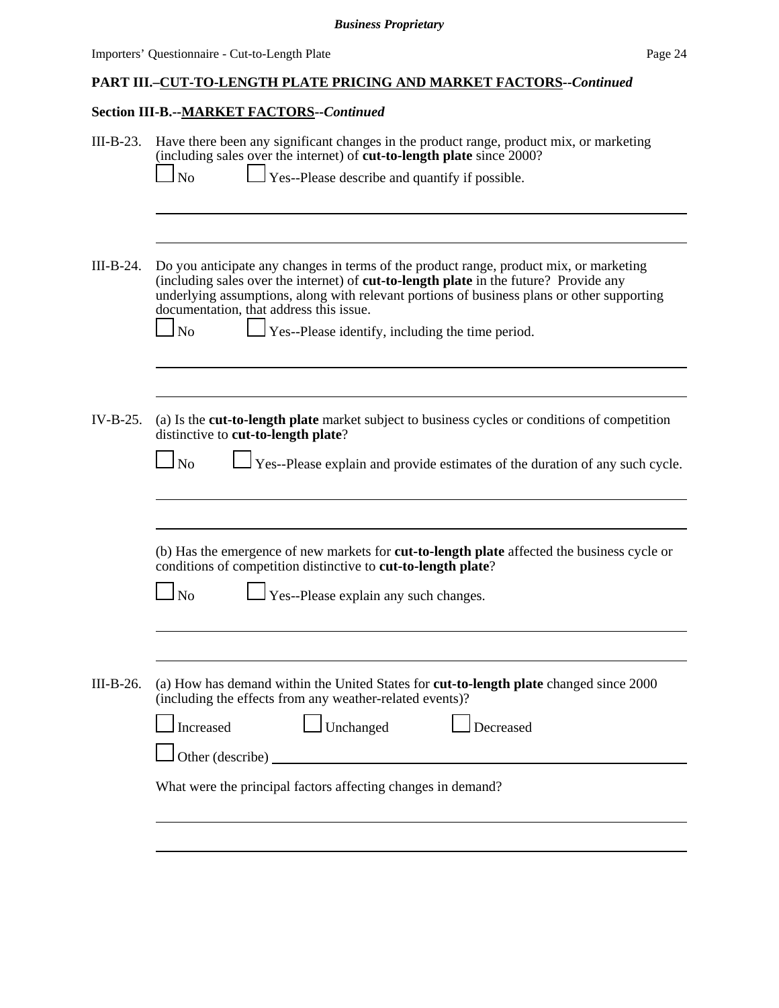# **Section III-B.--MARKET FACTORS--***Continued*

| III-B-23.   | Have there been any significant changes in the product range, product mix, or marketing<br>(including sales over the internet) of cut-to-length plate since 2000?                                                                                                                                                                                                                      |  |  |  |  |  |  |  |  |  |
|-------------|----------------------------------------------------------------------------------------------------------------------------------------------------------------------------------------------------------------------------------------------------------------------------------------------------------------------------------------------------------------------------------------|--|--|--|--|--|--|--|--|--|
|             | Yes--Please describe and quantify if possible.<br>N <sub>o</sub>                                                                                                                                                                                                                                                                                                                       |  |  |  |  |  |  |  |  |  |
| $III-B-24.$ | Do you anticipate any changes in terms of the product range, product mix, or marketing<br>(including sales over the internet) of cut-to-length plate in the future? Provide any<br>underlying assumptions, along with relevant portions of business plans or other supporting<br>documentation, that address this issue.<br>$\log$<br>Yes--Please identify, including the time period. |  |  |  |  |  |  |  |  |  |
| $IV-B-25.$  | (a) Is the cut-to-length plate market subject to business cycles or conditions of competition<br>distinctive to cut-to-length plate?<br>Yes--Please explain and provide estimates of the duration of any such cycle.<br>$\log$                                                                                                                                                         |  |  |  |  |  |  |  |  |  |
|             | (b) Has the emergence of new markets for <b>cut-to-length plate</b> affected the business cycle or<br>conditions of competition distinctive to cut-to-length plate?<br>$\log$<br>Yes--Please explain any such changes.                                                                                                                                                                 |  |  |  |  |  |  |  |  |  |
| III-B-26.   | (a) How has demand within the United States for <b>cut-to-length plate</b> changed since 2000<br>(including the effects from any weather-related events)?<br>Unchanged<br>Increased<br>Decreased<br>What were the principal factors affecting changes in demand?                                                                                                                       |  |  |  |  |  |  |  |  |  |
|             |                                                                                                                                                                                                                                                                                                                                                                                        |  |  |  |  |  |  |  |  |  |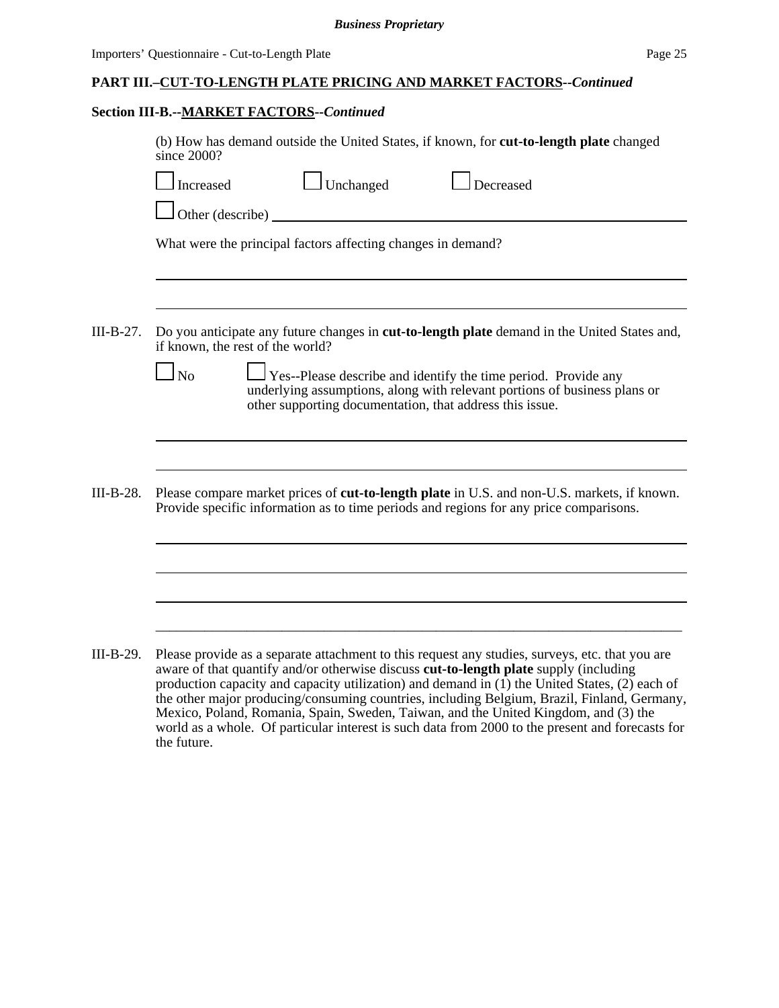### *Business Proprietary*

# **PART III.–CUT-TO-LENGTH PLATE PRICING AND MARKET FACTORS--***Continued*

# **Section III-B.--MARKET FACTORS--***Continued*

|                                                              | (b) How has demand outside the United States, if known, for cut-to-length plate changed<br>since 2000?                                                                                                                                                                                                                                                                                                                                                                                                                                                                                                  |  |  |  |  |  |  |  |  |  |  |
|--------------------------------------------------------------|---------------------------------------------------------------------------------------------------------------------------------------------------------------------------------------------------------------------------------------------------------------------------------------------------------------------------------------------------------------------------------------------------------------------------------------------------------------------------------------------------------------------------------------------------------------------------------------------------------|--|--|--|--|--|--|--|--|--|--|
|                                                              | $\Box$ Unchanged<br>$\Box$ Decreased<br>Increased                                                                                                                                                                                                                                                                                                                                                                                                                                                                                                                                                       |  |  |  |  |  |  |  |  |  |  |
|                                                              | Other (describe)                                                                                                                                                                                                                                                                                                                                                                                                                                                                                                                                                                                        |  |  |  |  |  |  |  |  |  |  |
| What were the principal factors affecting changes in demand? |                                                                                                                                                                                                                                                                                                                                                                                                                                                                                                                                                                                                         |  |  |  |  |  |  |  |  |  |  |
|                                                              |                                                                                                                                                                                                                                                                                                                                                                                                                                                                                                                                                                                                         |  |  |  |  |  |  |  |  |  |  |
| III-B-27.                                                    | Do you anticipate any future changes in <b>cut-to-length plate</b> demand in the United States and,<br>if known, the rest of the world?                                                                                                                                                                                                                                                                                                                                                                                                                                                                 |  |  |  |  |  |  |  |  |  |  |
|                                                              | $\Box$ No<br>Yes--Please describe and identify the time period. Provide any<br>underlying assumptions, along with relevant portions of business plans or<br>other supporting documentation, that address this issue.                                                                                                                                                                                                                                                                                                                                                                                    |  |  |  |  |  |  |  |  |  |  |
|                                                              |                                                                                                                                                                                                                                                                                                                                                                                                                                                                                                                                                                                                         |  |  |  |  |  |  |  |  |  |  |
| III-B-28.                                                    | Please compare market prices of <b>cut-to-length plate</b> in U.S. and non-U.S. markets, if known.<br>Provide specific information as to time periods and regions for any price comparisons.                                                                                                                                                                                                                                                                                                                                                                                                            |  |  |  |  |  |  |  |  |  |  |
|                                                              |                                                                                                                                                                                                                                                                                                                                                                                                                                                                                                                                                                                                         |  |  |  |  |  |  |  |  |  |  |
|                                                              |                                                                                                                                                                                                                                                                                                                                                                                                                                                                                                                                                                                                         |  |  |  |  |  |  |  |  |  |  |
|                                                              |                                                                                                                                                                                                                                                                                                                                                                                                                                                                                                                                                                                                         |  |  |  |  |  |  |  |  |  |  |
| III-B-29.                                                    | Please provide as a separate attachment to this request any studies, surveys, etc. that you are<br>aware of that quantify and/or otherwise discuss cut-to-length plate supply (including<br>production capacity and capacity utilization) and demand in $(1)$ the United States, $(2)$ each of<br>the other major producing/consuming countries, including Belgium, Brazil, Finland, Germany,<br>Mexico, Poland, Romania, Spain, Sweden, Taiwan, and the United Kingdom, and (3) the<br>world as a whole. Of particular interest is such data from 2000 to the present and forecasts for<br>the future. |  |  |  |  |  |  |  |  |  |  |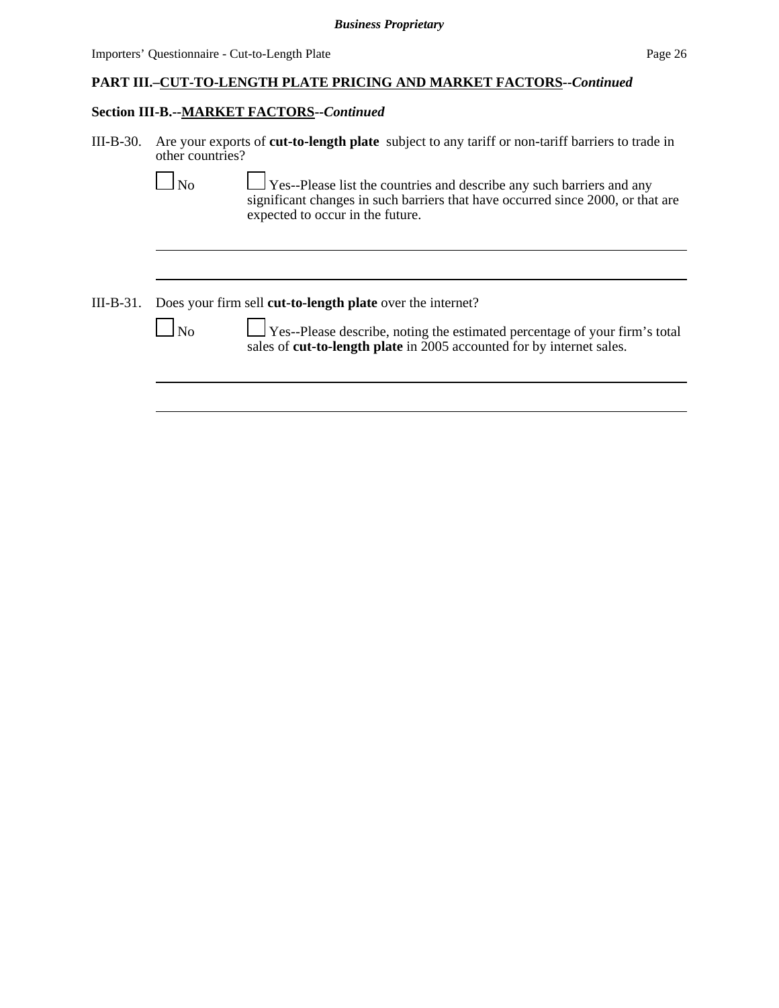# **Section III-B.--MARKET FACTORS--***Continued*

| $III-B-30.$ | Are your exports of <b>cut-to-length plate</b> subject to any tariff or non-tariff barriers to trade in<br>other countries? |                                                                                                                                                                                                     |  |  |  |  |  |  |  |
|-------------|-----------------------------------------------------------------------------------------------------------------------------|-----------------------------------------------------------------------------------------------------------------------------------------------------------------------------------------------------|--|--|--|--|--|--|--|
|             | No                                                                                                                          | $\Box$ Yes--Please list the countries and describe any such barriers and any<br>significant changes in such barriers that have occurred since 2000, or that are<br>expected to occur in the future. |  |  |  |  |  |  |  |
|             |                                                                                                                             |                                                                                                                                                                                                     |  |  |  |  |  |  |  |
| III-B-31.   | Does your firm sell cut-to-length plate over the internet?                                                                  |                                                                                                                                                                                                     |  |  |  |  |  |  |  |
|             | No                                                                                                                          | $\Box$ Yes--Please describe, noting the estimated percentage of your firm's total<br>sales of cut-to-length plate in 2005 accounted for by internet sales.                                          |  |  |  |  |  |  |  |
|             |                                                                                                                             |                                                                                                                                                                                                     |  |  |  |  |  |  |  |
|             |                                                                                                                             |                                                                                                                                                                                                     |  |  |  |  |  |  |  |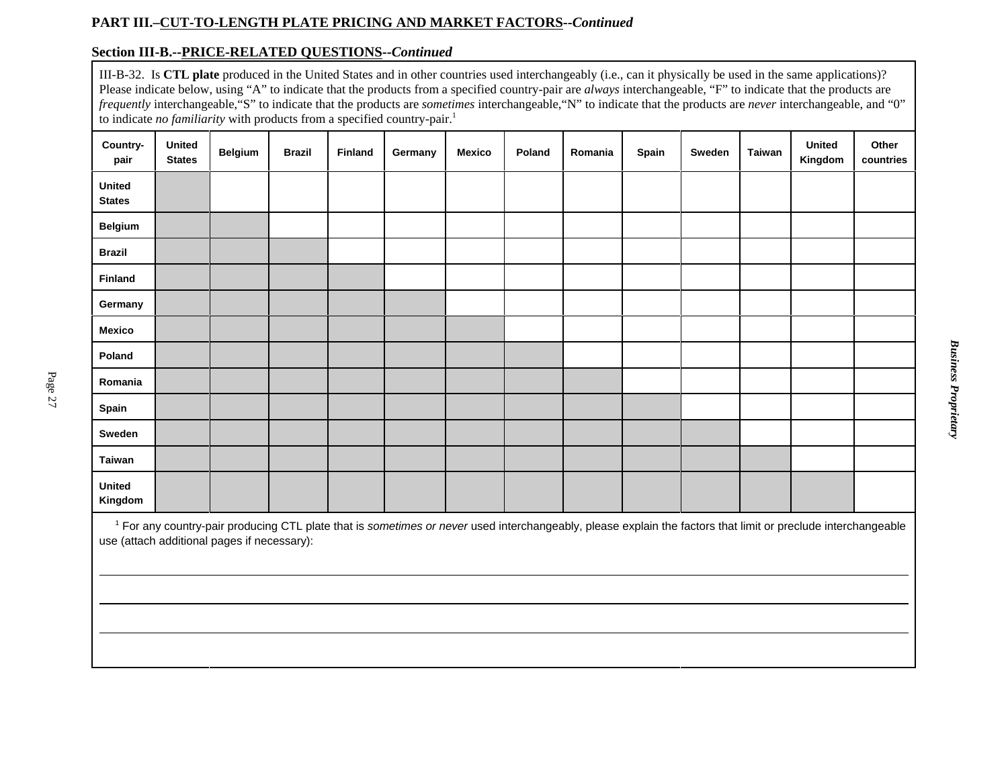### **Section III-B.--PRICE-RELATED QUESTIONS--***Continued*

III-B-32. Is **CTL plate** produced in the United States and in other countries used interchangeably (i.e., can it physically be used in the same applications)? Please indicate below, using "A" to indicate that the products from a specified country-pair are *always* interchangeable, "F" to indicate that the products are *frequently* interchangeable,"S" to indicate that the products are *sometimes* interchangeable,"N" to indicate that the products are *never* interchangeable, and "0" to indicate *no familiarity* with products from a specified country-pair.<sup>1</sup>

| Country-<br>pair                                                                                                                                            | <b>United</b><br><b>States</b> | <b>Belgium</b> | <b>Brazil</b> | Finland | Germany | <b>Mexico</b> | Poland | Romania | Spain | Sweden | Taiwan | <b>United</b><br>Kingdom | Other<br>countries |
|-------------------------------------------------------------------------------------------------------------------------------------------------------------|--------------------------------|----------------|---------------|---------|---------|---------------|--------|---------|-------|--------|--------|--------------------------|--------------------|
| United<br><b>States</b>                                                                                                                                     |                                |                |               |         |         |               |        |         |       |        |        |                          |                    |
| <b>Belgium</b>                                                                                                                                              |                                |                |               |         |         |               |        |         |       |        |        |                          |                    |
| <b>Brazil</b>                                                                                                                                               |                                |                |               |         |         |               |        |         |       |        |        |                          |                    |
| Finland                                                                                                                                                     |                                |                |               |         |         |               |        |         |       |        |        |                          |                    |
| Germany                                                                                                                                                     |                                |                |               |         |         |               |        |         |       |        |        |                          |                    |
| <b>Mexico</b>                                                                                                                                               |                                |                |               |         |         |               |        |         |       |        |        |                          |                    |
| Poland                                                                                                                                                      |                                |                |               |         |         |               |        |         |       |        |        |                          |                    |
| Romania                                                                                                                                                     |                                |                |               |         |         |               |        |         |       |        |        |                          |                    |
| Spain                                                                                                                                                       |                                |                |               |         |         |               |        |         |       |        |        |                          |                    |
| Sweden                                                                                                                                                      |                                |                |               |         |         |               |        |         |       |        |        |                          |                    |
| Taiwan                                                                                                                                                      |                                |                |               |         |         |               |        |         |       |        |        |                          |                    |
| United<br>Kingdom                                                                                                                                           |                                |                |               |         |         |               |        |         |       |        |        |                          |                    |
| 1 For any country poir producing CTL plote that is comotimes or noverused intersperses by places ovalgin the fectors that limit or produce intersperses and |                                |                |               |         |         |               |        |         |       |        |        |                          |                    |

1 For any country-pair producing CTL plate that is *sometimes or never* used interchangeably, please explain the factors that limit or preclude interchangeable use (attach additional pages if necessary):